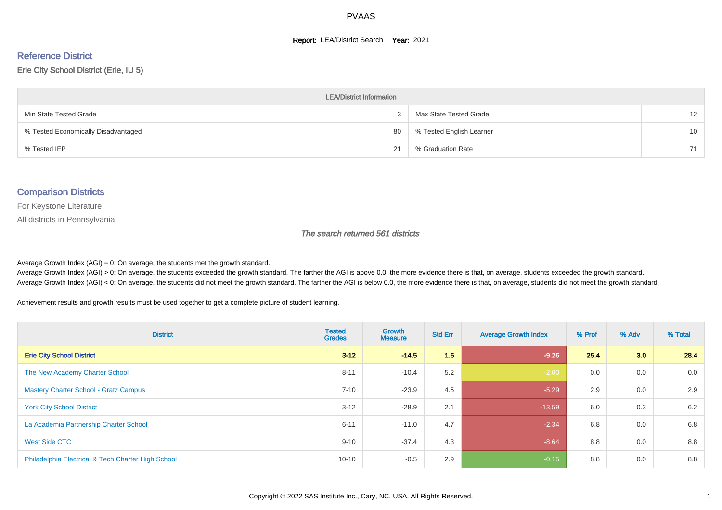#### **Report: LEA/District Search Year: 2021**

# Reference District

#### Erie City School District (Erie, IU 5)

| <b>LEA/District Information</b>     |    |                          |                   |  |  |  |  |  |  |  |
|-------------------------------------|----|--------------------------|-------------------|--|--|--|--|--|--|--|
| Min State Tested Grade              |    | Max State Tested Grade   | $12 \overline{ }$ |  |  |  |  |  |  |  |
| % Tested Economically Disadvantaged | 80 | % Tested English Learner | 10                |  |  |  |  |  |  |  |
| % Tested IEP                        | 21 | % Graduation Rate        | 71                |  |  |  |  |  |  |  |

#### Comparison Districts

For Keystone Literature

All districts in Pennsylvania

The search returned 561 districts

Average Growth Index  $(AGI) = 0$ : On average, the students met the growth standard.

Average Growth Index (AGI) > 0: On average, the students exceeded the growth standard. The farther the AGI is above 0.0, the more evidence there is that, on average, students exceeded the growth standard. Average Growth Index (AGI) < 0: On average, the students did not meet the growth standard. The farther the AGI is below 0.0, the more evidence there is that, on average, students did not meet the growth standard.

Achievement results and growth results must be used together to get a complete picture of student learning.

| <b>District</b>                                    | <b>Tested</b><br><b>Grades</b> | Growth<br><b>Measure</b> | <b>Std Err</b> | <b>Average Growth Index</b> | % Prof | % Adv | % Total |
|----------------------------------------------------|--------------------------------|--------------------------|----------------|-----------------------------|--------|-------|---------|
| <b>Erie City School District</b>                   | $3 - 12$                       | $-14.5$                  | 1.6            | $-9.26$                     | 25.4   | 3.0   | 28.4    |
| The New Academy Charter School                     | $8 - 11$                       | $-10.4$                  | 5.2            | $-2.00$                     | 0.0    | 0.0   | 0.0     |
| <b>Mastery Charter School - Gratz Campus</b>       | $7 - 10$                       | $-23.9$                  | 4.5            | $-5.29$                     | 2.9    | 0.0   | 2.9     |
| <b>York City School District</b>                   | $3 - 12$                       | $-28.9$                  | 2.1            | $-13.59$                    | 6.0    | 0.3   | 6.2     |
| La Academia Partnership Charter School             | $6 - 11$                       | $-11.0$                  | 4.7            | $-2.34$                     | 6.8    | 0.0   | 6.8     |
| West Side CTC                                      | $9 - 10$                       | $-37.4$                  | 4.3            | $-8.64$                     | 8.8    | 0.0   | 8.8     |
| Philadelphia Electrical & Tech Charter High School | $10 - 10$                      | $-0.5$                   | 2.9            | $-0.15$                     | 8.8    | 0.0   | 8.8     |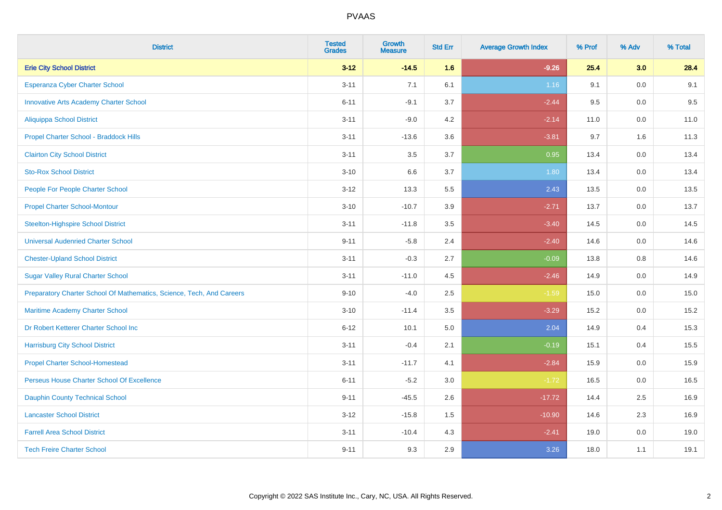| <b>District</b>                                                       | <b>Tested</b><br><b>Grades</b> | <b>Growth</b><br><b>Measure</b> | <b>Std Err</b> | <b>Average Growth Index</b> | % Prof | % Adv   | % Total |
|-----------------------------------------------------------------------|--------------------------------|---------------------------------|----------------|-----------------------------|--------|---------|---------|
| <b>Erie City School District</b>                                      | $3 - 12$                       | $-14.5$                         | 1.6            | $-9.26$                     | 25.4   | 3.0     | 28.4    |
| Esperanza Cyber Charter School                                        | $3 - 11$                       | 7.1                             | 6.1            | 1.16                        | 9.1    | 0.0     | 9.1     |
| <b>Innovative Arts Academy Charter School</b>                         | $6 - 11$                       | $-9.1$                          | 3.7            | $-2.44$                     | 9.5    | 0.0     | 9.5     |
| <b>Aliquippa School District</b>                                      | $3 - 11$                       | $-9.0$                          | 4.2            | $-2.14$                     | 11.0   | $0.0\,$ | 11.0    |
| Propel Charter School - Braddock Hills                                | $3 - 11$                       | $-13.6$                         | 3.6            | $-3.81$                     | 9.7    | 1.6     | 11.3    |
| <b>Clairton City School District</b>                                  | $3 - 11$                       | 3.5                             | 3.7            | 0.95                        | 13.4   | 0.0     | 13.4    |
| <b>Sto-Rox School District</b>                                        | $3 - 10$                       | 6.6                             | 3.7            | 1.80                        | 13.4   | 0.0     | 13.4    |
| People For People Charter School                                      | $3 - 12$                       | 13.3                            | 5.5            | 2.43                        | 13.5   | 0.0     | 13.5    |
| <b>Propel Charter School-Montour</b>                                  | $3 - 10$                       | $-10.7$                         | 3.9            | $-2.71$                     | 13.7   | 0.0     | 13.7    |
| <b>Steelton-Highspire School District</b>                             | $3 - 11$                       | $-11.8$                         | 3.5            | $-3.40$                     | 14.5   | 0.0     | 14.5    |
| <b>Universal Audenried Charter School</b>                             | $9 - 11$                       | $-5.8$                          | 2.4            | $-2.40$                     | 14.6   | 0.0     | 14.6    |
| <b>Chester-Upland School District</b>                                 | $3 - 11$                       | $-0.3$                          | 2.7            | $-0.09$                     | 13.8   | 0.8     | 14.6    |
| <b>Sugar Valley Rural Charter School</b>                              | $3 - 11$                       | $-11.0$                         | 4.5            | $-2.46$                     | 14.9   | 0.0     | 14.9    |
| Preparatory Charter School Of Mathematics, Science, Tech, And Careers | $9 - 10$                       | $-4.0$                          | 2.5            | $-1.59$                     | 15.0   | $0.0\,$ | 15.0    |
| Maritime Academy Charter School                                       | $3 - 10$                       | $-11.4$                         | 3.5            | $-3.29$                     | 15.2   | 0.0     | 15.2    |
| Dr Robert Ketterer Charter School Inc                                 | $6 - 12$                       | 10.1                            | 5.0            | 2.04                        | 14.9   | 0.4     | 15.3    |
| <b>Harrisburg City School District</b>                                | $3 - 11$                       | $-0.4$                          | 2.1            | $-0.19$                     | 15.1   | 0.4     | 15.5    |
| <b>Propel Charter School-Homestead</b>                                | $3 - 11$                       | $-11.7$                         | 4.1            | $-2.84$                     | 15.9   | 0.0     | 15.9    |
| Perseus House Charter School Of Excellence                            | $6 - 11$                       | $-5.2$                          | 3.0            | $-1.72$                     | 16.5   | $0.0\,$ | 16.5    |
| <b>Dauphin County Technical School</b>                                | $9 - 11$                       | $-45.5$                         | 2.6            | $-17.72$                    | 14.4   | 2.5     | 16.9    |
| <b>Lancaster School District</b>                                      | $3 - 12$                       | $-15.8$                         | 1.5            | $-10.90$                    | 14.6   | 2.3     | 16.9    |
| <b>Farrell Area School District</b>                                   | $3 - 11$                       | $-10.4$                         | 4.3            | $-2.41$                     | 19.0   | $0.0\,$ | 19.0    |
| <b>Tech Freire Charter School</b>                                     | $9 - 11$                       | 9.3                             | 2.9            | 3.26                        | 18.0   | 1.1     | 19.1    |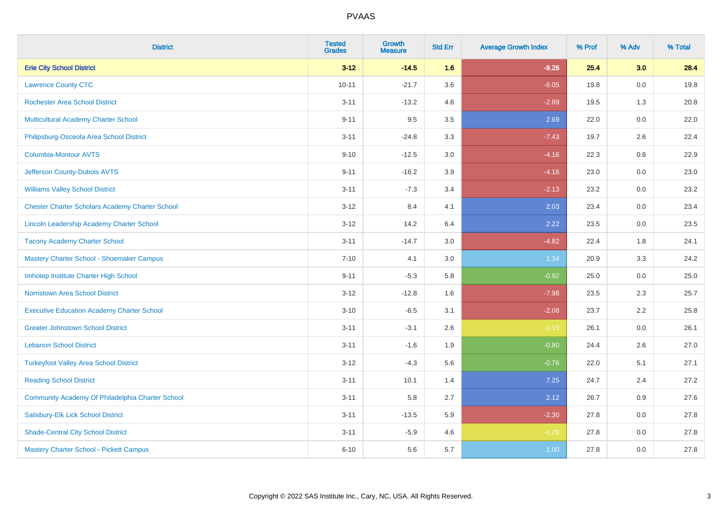| <b>District</b>                                        | <b>Tested</b><br><b>Grades</b> | <b>Growth</b><br><b>Measure</b> | <b>Std Err</b> | <b>Average Growth Index</b> | % Prof | % Adv   | % Total |
|--------------------------------------------------------|--------------------------------|---------------------------------|----------------|-----------------------------|--------|---------|---------|
| <b>Erie City School District</b>                       | $3 - 12$                       | $-14.5$                         | 1.6            | $-9.26$                     | 25.4   | 3.0     | 28.4    |
| <b>Lawrence County CTC</b>                             | $10 - 11$                      | $-21.7$                         | 3.6            | $-6.05$                     | 19.8   | 0.0     | 19.8    |
| <b>Rochester Area School District</b>                  | $3 - 11$                       | $-13.2$                         | 4.6            | $-2.89$                     | 19.5   | 1.3     | 20.8    |
| Multicultural Academy Charter School                   | $9 - 11$                       | 9.5                             | 3.5            | 2.69                        | 22.0   | $0.0\,$ | 22.0    |
| Philipsburg-Osceola Area School District               | $3 - 11$                       | $-24.8$                         | 3.3            | $-7.43$                     | 19.7   | 2.6     | 22.4    |
| <b>Columbia-Montour AVTS</b>                           | $9 - 10$                       | $-12.5$                         | 3.0            | $-4.16$                     | 22.3   | 0.6     | 22.9    |
| Jefferson County-Dubois AVTS                           | $9 - 11$                       | $-16.2$                         | 3.9            | $-4.16$                     | 23.0   | $0.0\,$ | 23.0    |
| <b>Williams Valley School District</b>                 | $3 - 11$                       | $-7.3$                          | 3.4            | $-2.13$                     | 23.2   | 0.0     | 23.2    |
| <b>Chester Charter Scholars Academy Charter School</b> | $3 - 12$                       | 8.4                             | 4.1            | 2.03                        | 23.4   | 0.0     | 23.4    |
| Lincoln Leadership Academy Charter School              | $3 - 12$                       | 14.2                            | 6.4            | 2.22                        | 23.5   | $0.0\,$ | 23.5    |
| <b>Tacony Academy Charter School</b>                   | $3 - 11$                       | $-14.7$                         | 3.0            | $-4.82$                     | 22.4   | 1.8     | 24.1    |
| Mastery Charter School - Shoemaker Campus              | $7 - 10$                       | 4.1                             | 3.0            | 1.34                        | 20.9   | 3.3     | 24.2    |
| Imhotep Institute Charter High School                  | $9 - 11$                       | $-5.3$                          | 5.8            | $-0.92$                     | 25.0   | 0.0     | 25.0    |
| <b>Norristown Area School District</b>                 | $3 - 12$                       | $-12.8$                         | 1.6            | $-7.98$                     | 23.5   | 2.3     | 25.7    |
| <b>Executive Education Academy Charter School</b>      | $3 - 10$                       | $-6.5$                          | 3.1            | $-2.08$                     | 23.7   | 2.2     | 25.8    |
| <b>Greater Johnstown School District</b>               | $3 - 11$                       | $-3.1$                          | 2.6            | $-1.19$                     | 26.1   | 0.0     | 26.1    |
| <b>Lebanon School District</b>                         | $3 - 11$                       | $-1.6$                          | 1.9            | $-0.80$                     | 24.4   | 2.6     | 27.0    |
| <b>Turkeyfoot Valley Area School District</b>          | $3 - 12$                       | $-4.3$                          | 5.6            | $-0.76$                     | 22.0   | 5.1     | 27.1    |
| <b>Reading School District</b>                         | $3 - 11$                       | 10.1                            | 1.4            | 7.25                        | 24.7   | 2.4     | 27.2    |
| Community Academy Of Philadelphia Charter School       | $3 - 11$                       | 5.8                             | 2.7            | 2.12                        | 26.7   | 0.9     | 27.6    |
| Salisbury-Elk Lick School District                     | $3 - 11$                       | $-13.5$                         | 5.9            | $-2.30$                     | 27.8   | 0.0     | 27.8    |
| <b>Shade-Central City School District</b>              | $3 - 11$                       | $-5.9$                          | 4.6            | $-1.28$                     | 27.8   | 0.0     | 27.8    |
| Mastery Charter School - Pickett Campus                | $6 - 10$                       | 5.6                             | 5.7            | 1.00                        | 27.8   | 0.0     | 27.8    |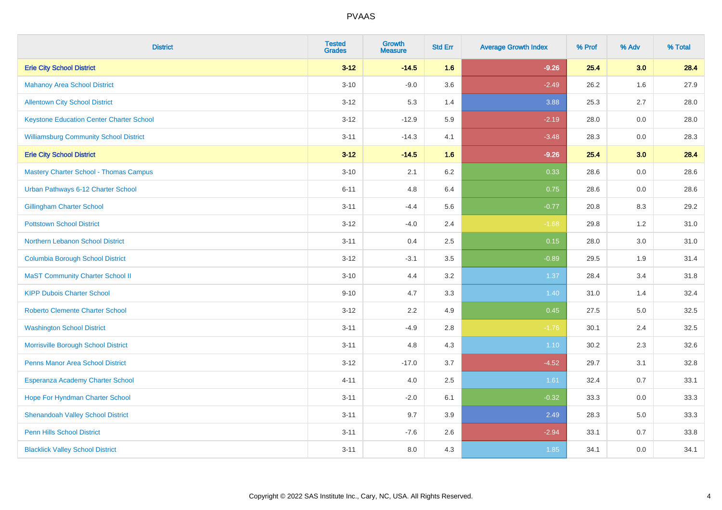| <b>District</b>                                 | <b>Tested</b><br><b>Grades</b> | <b>Growth</b><br><b>Measure</b> | <b>Std Err</b> | <b>Average Growth Index</b> | % Prof | % Adv   | % Total |
|-------------------------------------------------|--------------------------------|---------------------------------|----------------|-----------------------------|--------|---------|---------|
| <b>Erie City School District</b>                | $3 - 12$                       | $-14.5$                         | 1.6            | $-9.26$                     | 25.4   | 3.0     | 28.4    |
| <b>Mahanoy Area School District</b>             | $3 - 10$                       | $-9.0$                          | 3.6            | $-2.49$                     | 26.2   | 1.6     | 27.9    |
| <b>Allentown City School District</b>           | $3 - 12$                       | 5.3                             | 1.4            | 3.88                        | 25.3   | 2.7     | 28.0    |
| <b>Keystone Education Center Charter School</b> | $3 - 12$                       | $-12.9$                         | 5.9            | $-2.19$                     | 28.0   | $0.0\,$ | 28.0    |
| <b>Williamsburg Community School District</b>   | $3 - 11$                       | $-14.3$                         | 4.1            | $-3.48$                     | 28.3   | 0.0     | 28.3    |
| <b>Erie City School District</b>                | $3 - 12$                       | $-14.5$                         | 1.6            | $-9.26$                     | 25.4   | 3.0     | 28.4    |
| <b>Mastery Charter School - Thomas Campus</b>   | $3 - 10$                       | 2.1                             | $6.2\,$        | 0.33                        | 28.6   | $0.0\,$ | 28.6    |
| Urban Pathways 6-12 Charter School              | $6 - 11$                       | 4.8                             | 6.4            | 0.75                        | 28.6   | 0.0     | 28.6    |
| <b>Gillingham Charter School</b>                | $3 - 11$                       | $-4.4$                          | 5.6            | $-0.77$                     | 20.8   | 8.3     | 29.2    |
| <b>Pottstown School District</b>                | $3 - 12$                       | $-4.0$                          | 2.4            | $-1.68$                     | 29.8   | 1.2     | 31.0    |
| Northern Lebanon School District                | $3 - 11$                       | 0.4                             | 2.5            | 0.15                        | 28.0   | 3.0     | 31.0    |
| <b>Columbia Borough School District</b>         | $3 - 12$                       | $-3.1$                          | 3.5            | $-0.89$                     | 29.5   | 1.9     | 31.4    |
| <b>MaST Community Charter School II</b>         | $3 - 10$                       | 4.4                             | 3.2            | 1.37                        | 28.4   | 3.4     | 31.8    |
| <b>KIPP Dubois Charter School</b>               | $9 - 10$                       | 4.7                             | 3.3            | 1.40                        | 31.0   | 1.4     | 32.4    |
| <b>Roberto Clemente Charter School</b>          | $3 - 12$                       | 2.2                             | 4.9            | 0.45                        | 27.5   | 5.0     | 32.5    |
| <b>Washington School District</b>               | $3 - 11$                       | $-4.9$                          | 2.8            | $-1.76$                     | 30.1   | 2.4     | 32.5    |
| Morrisville Borough School District             | $3 - 11$                       | 4.8                             | 4.3            | 1.10                        | 30.2   | 2.3     | 32.6    |
| <b>Penns Manor Area School District</b>         | $3 - 12$                       | $-17.0$                         | 3.7            | $-4.52$                     | 29.7   | 3.1     | 32.8    |
| Esperanza Academy Charter School                | $4 - 11$                       | 4.0                             | 2.5            | 1.61                        | 32.4   | 0.7     | 33.1    |
| Hope For Hyndman Charter School                 | $3 - 11$                       | $-2.0$                          | 6.1            | $-0.32$                     | 33.3   | 0.0     | 33.3    |
| <b>Shenandoah Valley School District</b>        | $3 - 11$                       | 9.7                             | 3.9            | 2.49                        | 28.3   | 5.0     | 33.3    |
| <b>Penn Hills School District</b>               | $3 - 11$                       | $-7.6$                          | 2.6            | $-2.94$                     | 33.1   | 0.7     | 33.8    |
| <b>Blacklick Valley School District</b>         | $3 - 11$                       | 8.0                             | 4.3            | 1.85                        | 34.1   | 0.0     | 34.1    |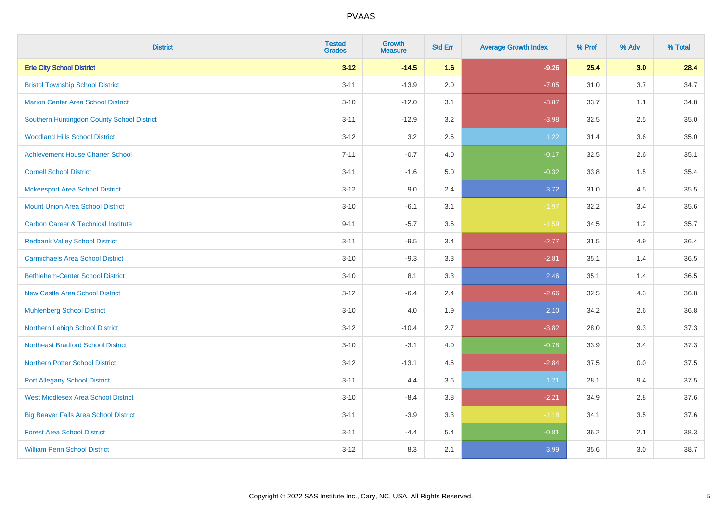| <b>District</b>                                | <b>Tested</b><br><b>Grades</b> | <b>Growth</b><br><b>Measure</b> | <b>Std Err</b> | <b>Average Growth Index</b> | % Prof | % Adv | % Total |
|------------------------------------------------|--------------------------------|---------------------------------|----------------|-----------------------------|--------|-------|---------|
| <b>Erie City School District</b>               | $3 - 12$                       | $-14.5$                         | 1.6            | $-9.26$                     | 25.4   | 3.0   | 28.4    |
| <b>Bristol Township School District</b>        | $3 - 11$                       | $-13.9$                         | 2.0            | $-7.05$                     | 31.0   | 3.7   | 34.7    |
| <b>Marion Center Area School District</b>      | $3 - 10$                       | $-12.0$                         | 3.1            | $-3.87$                     | 33.7   | 1.1   | 34.8    |
| Southern Huntingdon County School District     | $3 - 11$                       | $-12.9$                         | 3.2            | $-3.98$                     | 32.5   | 2.5   | 35.0    |
| <b>Woodland Hills School District</b>          | $3 - 12$                       | 3.2                             | 2.6            | 1.22                        | 31.4   | 3.6   | 35.0    |
| <b>Achievement House Charter School</b>        | $7 - 11$                       | $-0.7$                          | 4.0            | $-0.17$                     | 32.5   | 2.6   | 35.1    |
| <b>Cornell School District</b>                 | $3 - 11$                       | $-1.6$                          | 5.0            | $-0.32$                     | 33.8   | 1.5   | 35.4    |
| <b>Mckeesport Area School District</b>         | $3 - 12$                       | 9.0                             | 2.4            | 3.72                        | 31.0   | 4.5   | 35.5    |
| <b>Mount Union Area School District</b>        | $3 - 10$                       | $-6.1$                          | 3.1            | $-1.97$                     | 32.2   | 3.4   | 35.6    |
| <b>Carbon Career &amp; Technical Institute</b> | $9 - 11$                       | $-5.7$                          | 3.6            | $-1.59$                     | 34.5   | 1.2   | 35.7    |
| <b>Redbank Valley School District</b>          | $3 - 11$                       | $-9.5$                          | 3.4            | $-2.77$                     | 31.5   | 4.9   | 36.4    |
| <b>Carmichaels Area School District</b>        | $3 - 10$                       | $-9.3$                          | 3.3            | $-2.81$                     | 35.1   | 1.4   | 36.5    |
| <b>Bethlehem-Center School District</b>        | $3 - 10$                       | 8.1                             | 3.3            | 2.46                        | 35.1   | 1.4   | 36.5    |
| <b>New Castle Area School District</b>         | $3 - 12$                       | $-6.4$                          | 2.4            | $-2.66$                     | 32.5   | 4.3   | 36.8    |
| <b>Muhlenberg School District</b>              | $3 - 10$                       | 4.0                             | 1.9            | 2.10                        | 34.2   | 2.6   | 36.8    |
| Northern Lehigh School District                | $3 - 12$                       | $-10.4$                         | 2.7            | $-3.82$                     | 28.0   | 9.3   | 37.3    |
| <b>Northeast Bradford School District</b>      | $3 - 10$                       | $-3.1$                          | 4.0            | $-0.78$                     | 33.9   | 3.4   | 37.3    |
| <b>Northern Potter School District</b>         | $3 - 12$                       | $-13.1$                         | 4.6            | $-2.84$                     | 37.5   | 0.0   | 37.5    |
| <b>Port Allegany School District</b>           | $3 - 11$                       | 4.4                             | 3.6            | 1.21                        | 28.1   | 9.4   | 37.5    |
| <b>West Middlesex Area School District</b>     | $3 - 10$                       | $-8.4$                          | 3.8            | $-2.21$                     | 34.9   | 2.8   | 37.6    |
| <b>Big Beaver Falls Area School District</b>   | $3 - 11$                       | $-3.9$                          | 3.3            | $-1.18$                     | 34.1   | 3.5   | 37.6    |
| <b>Forest Area School District</b>             | $3 - 11$                       | $-4.4$                          | 5.4            | $-0.81$                     | 36.2   | 2.1   | 38.3    |
| <b>William Penn School District</b>            | $3 - 12$                       | 8.3                             | 2.1            | 3.99                        | 35.6   | 3.0   | 38.7    |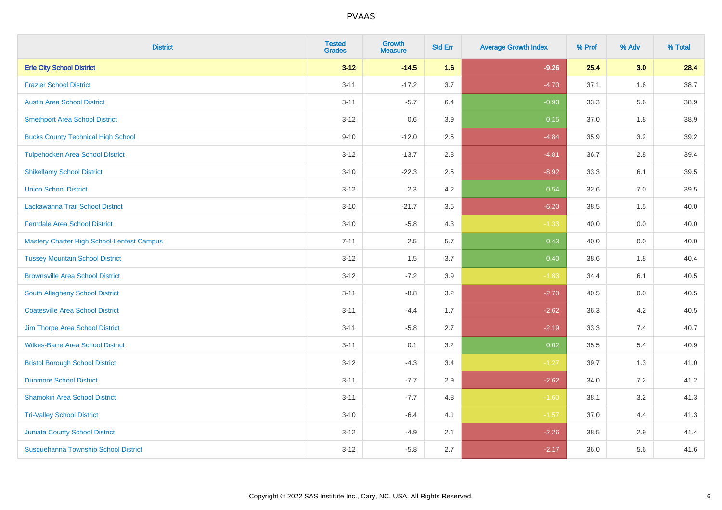| <b>District</b>                            | <b>Tested</b><br><b>Grades</b> | Growth<br><b>Measure</b> | <b>Std Err</b> | <b>Average Growth Index</b> | % Prof | % Adv   | % Total |
|--------------------------------------------|--------------------------------|--------------------------|----------------|-----------------------------|--------|---------|---------|
| <b>Erie City School District</b>           | $3 - 12$                       | $-14.5$                  | 1.6            | $-9.26$                     | 25.4   | 3.0     | 28.4    |
| <b>Frazier School District</b>             | $3 - 11$                       | $-17.2$                  | 3.7            | $-4.70$                     | 37.1   | 1.6     | 38.7    |
| <b>Austin Area School District</b>         | $3 - 11$                       | $-5.7$                   | 6.4            | $-0.90$                     | 33.3   | 5.6     | 38.9    |
| <b>Smethport Area School District</b>      | $3 - 12$                       | 0.6                      | 3.9            | 0.15                        | 37.0   | $1.8\,$ | 38.9    |
| <b>Bucks County Technical High School</b>  | $9 - 10$                       | $-12.0$                  | 2.5            | $-4.84$                     | 35.9   | 3.2     | 39.2    |
| <b>Tulpehocken Area School District</b>    | $3 - 12$                       | $-13.7$                  | 2.8            | $-4.81$                     | 36.7   | 2.8     | 39.4    |
| <b>Shikellamy School District</b>          | $3 - 10$                       | $-22.3$                  | 2.5            | $-8.92$                     | 33.3   | 6.1     | 39.5    |
| <b>Union School District</b>               | $3 - 12$                       | 2.3                      | 4.2            | 0.54                        | 32.6   | 7.0     | 39.5    |
| Lackawanna Trail School District           | $3 - 10$                       | $-21.7$                  | 3.5            | $-6.20$                     | 38.5   | 1.5     | 40.0    |
| <b>Ferndale Area School District</b>       | $3 - 10$                       | $-5.8$                   | 4.3            | $-1.33$                     | 40.0   | 0.0     | 40.0    |
| Mastery Charter High School-Lenfest Campus | $7 - 11$                       | 2.5                      | 5.7            | 0.43                        | 40.0   | 0.0     | 40.0    |
| <b>Tussey Mountain School District</b>     | $3 - 12$                       | 1.5                      | 3.7            | 0.40                        | 38.6   | 1.8     | 40.4    |
| <b>Brownsville Area School District</b>    | $3 - 12$                       | $-7.2$                   | 3.9            | $-1.83$                     | 34.4   | 6.1     | 40.5    |
| South Allegheny School District            | $3 - 11$                       | $-8.8$                   | 3.2            | $-2.70$                     | 40.5   | 0.0     | 40.5    |
| <b>Coatesville Area School District</b>    | $3 - 11$                       | $-4.4$                   | 1.7            | $-2.62$                     | 36.3   | 4.2     | 40.5    |
| Jim Thorpe Area School District            | $3 - 11$                       | $-5.8$                   | 2.7            | $-2.19$                     | 33.3   | 7.4     | 40.7    |
| <b>Wilkes-Barre Area School District</b>   | $3 - 11$                       | 0.1                      | 3.2            | 0.02                        | 35.5   | 5.4     | 40.9    |
| <b>Bristol Borough School District</b>     | $3 - 12$                       | $-4.3$                   | 3.4            | $-1.27$                     | 39.7   | 1.3     | 41.0    |
| <b>Dunmore School District</b>             | $3 - 11$                       | $-7.7$                   | 2.9            | $-2.62$                     | 34.0   | 7.2     | 41.2    |
| <b>Shamokin Area School District</b>       | $3 - 11$                       | $-7.7$                   | 4.8            | $-1.60$                     | 38.1   | 3.2     | 41.3    |
| <b>Tri-Valley School District</b>          | $3 - 10$                       | $-6.4$                   | 4.1            | $-1.57$                     | 37.0   | 4.4     | 41.3    |
| <b>Juniata County School District</b>      | $3 - 12$                       | $-4.9$                   | 2.1            | $-2.26$                     | 38.5   | 2.9     | 41.4    |
| Susquehanna Township School District       | $3 - 12$                       | $-5.8$                   | 2.7            | $-2.17$                     | 36.0   | 5.6     | 41.6    |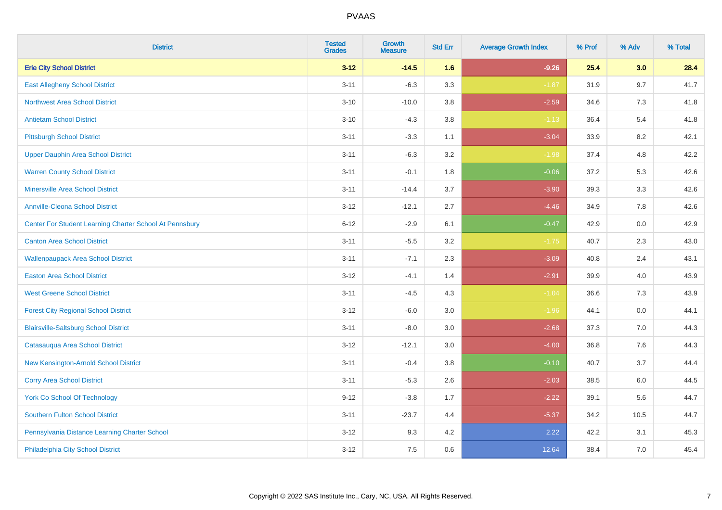| <b>District</b>                                         | <b>Tested</b><br><b>Grades</b> | <b>Growth</b><br><b>Measure</b> | <b>Std Err</b> | <b>Average Growth Index</b> | % Prof | % Adv | % Total |
|---------------------------------------------------------|--------------------------------|---------------------------------|----------------|-----------------------------|--------|-------|---------|
| <b>Erie City School District</b>                        | $3 - 12$                       | $-14.5$                         | 1.6            | $-9.26$                     | 25.4   | 3.0   | 28.4    |
| <b>East Allegheny School District</b>                   | $3 - 11$                       | $-6.3$                          | 3.3            | $-1.87$                     | 31.9   | 9.7   | 41.7    |
| <b>Northwest Area School District</b>                   | $3 - 10$                       | $-10.0$                         | 3.8            | $-2.59$                     | 34.6   | 7.3   | 41.8    |
| <b>Antietam School District</b>                         | $3 - 10$                       | $-4.3$                          | $3.8\,$        | $-1.13$                     | 36.4   | 5.4   | 41.8    |
| <b>Pittsburgh School District</b>                       | $3 - 11$                       | $-3.3$                          | 1.1            | $-3.04$                     | 33.9   | 8.2   | 42.1    |
| <b>Upper Dauphin Area School District</b>               | $3 - 11$                       | $-6.3$                          | 3.2            | $-1.98$                     | 37.4   | 4.8   | 42.2    |
| <b>Warren County School District</b>                    | $3 - 11$                       | $-0.1$                          | 1.8            | $-0.06$                     | 37.2   | 5.3   | 42.6    |
| <b>Minersville Area School District</b>                 | $3 - 11$                       | $-14.4$                         | 3.7            | $-3.90$                     | 39.3   | 3.3   | 42.6    |
| <b>Annville-Cleona School District</b>                  | $3 - 12$                       | $-12.1$                         | 2.7            | $-4.46$                     | 34.9   | 7.8   | 42.6    |
| Center For Student Learning Charter School At Pennsbury | $6 - 12$                       | $-2.9$                          | 6.1            | $-0.47$                     | 42.9   | 0.0   | 42.9    |
| <b>Canton Area School District</b>                      | $3 - 11$                       | $-5.5$                          | 3.2            | $-1.75$                     | 40.7   | 2.3   | 43.0    |
| <b>Wallenpaupack Area School District</b>               | $3 - 11$                       | $-7.1$                          | 2.3            | $-3.09$                     | 40.8   | 2.4   | 43.1    |
| <b>Easton Area School District</b>                      | $3 - 12$                       | $-4.1$                          | 1.4            | $-2.91$                     | 39.9   | 4.0   | 43.9    |
| <b>West Greene School District</b>                      | $3 - 11$                       | $-4.5$                          | 4.3            | $-1.04$                     | 36.6   | $7.3$ | 43.9    |
| <b>Forest City Regional School District</b>             | $3 - 12$                       | $-6.0$                          | 3.0            | $-1.96$                     | 44.1   | 0.0   | 44.1    |
| <b>Blairsville-Saltsburg School District</b>            | $3 - 11$                       | $-8.0$                          | 3.0            | $-2.68$                     | 37.3   | 7.0   | 44.3    |
| Catasauqua Area School District                         | $3 - 12$                       | $-12.1$                         | 3.0            | $-4.00$                     | 36.8   | 7.6   | 44.3    |
| New Kensington-Arnold School District                   | $3 - 11$                       | $-0.4$                          | 3.8            | $-0.10$                     | 40.7   | 3.7   | 44.4    |
| <b>Corry Area School District</b>                       | $3 - 11$                       | $-5.3$                          | 2.6            | $-2.03$                     | 38.5   | 6.0   | 44.5    |
| <b>York Co School Of Technology</b>                     | $9 - 12$                       | $-3.8$                          | 1.7            | $-2.22$                     | 39.1   | 5.6   | 44.7    |
| <b>Southern Fulton School District</b>                  | $3 - 11$                       | $-23.7$                         | 4.4            | $-5.37$                     | 34.2   | 10.5  | 44.7    |
| Pennsylvania Distance Learning Charter School           | $3 - 12$                       | 9.3                             | 4.2            | 2.22                        | 42.2   | 3.1   | 45.3    |
| Philadelphia City School District                       | $3 - 12$                       | 7.5                             | 0.6            | 12.64                       | 38.4   | 7.0   | 45.4    |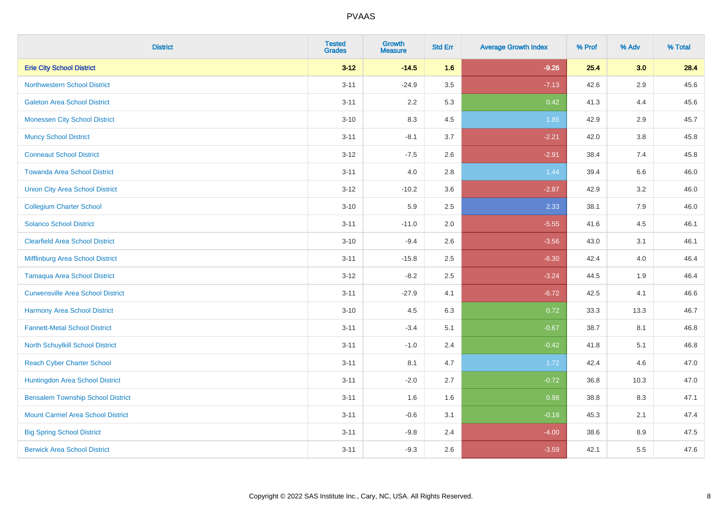| <b>District</b>                          | <b>Tested</b><br><b>Grades</b> | <b>Growth</b><br><b>Measure</b> | <b>Std Err</b> | <b>Average Growth Index</b> | % Prof | % Adv | % Total |
|------------------------------------------|--------------------------------|---------------------------------|----------------|-----------------------------|--------|-------|---------|
| <b>Erie City School District</b>         | $3 - 12$                       | $-14.5$                         | 1.6            | $-9.26$                     | 25.4   | 3.0   | 28.4    |
| <b>Northwestern School District</b>      | $3 - 11$                       | $-24.9$                         | 3.5            | $-7.13$                     | 42.6   | 2.9   | 45.6    |
| <b>Galeton Area School District</b>      | $3 - 11$                       | 2.2                             | 5.3            | 0.42                        | 41.3   | 4.4   | 45.6    |
| <b>Monessen City School District</b>     | $3 - 10$                       | 8.3                             | 4.5            | 1.85                        | 42.9   | 2.9   | 45.7    |
| <b>Muncy School District</b>             | $3 - 11$                       | $-8.1$                          | 3.7            | $-2.21$                     | 42.0   | 3.8   | 45.8    |
| <b>Conneaut School District</b>          | $3 - 12$                       | $-7.5$                          | 2.6            | $-2.91$                     | 38.4   | 7.4   | 45.8    |
| <b>Towanda Area School District</b>      | $3 - 11$                       | 4.0                             | 2.8            | 1.44                        | 39.4   | 6.6   | 46.0    |
| <b>Union City Area School District</b>   | $3 - 12$                       | $-10.2$                         | 3.6            | $-2.87$                     | 42.9   | 3.2   | 46.0    |
| <b>Collegium Charter School</b>          | $3 - 10$                       | 5.9                             | 2.5            | 2.33                        | 38.1   | 7.9   | 46.0    |
| <b>Solanco School District</b>           | $3 - 11$                       | $-11.0$                         | 2.0            | $-5.55$                     | 41.6   | 4.5   | 46.1    |
| <b>Clearfield Area School District</b>   | $3 - 10$                       | $-9.4$                          | 2.6            | $-3.56$                     | 43.0   | 3.1   | 46.1    |
| Mifflinburg Area School District         | $3 - 11$                       | $-15.8$                         | 2.5            | $-6.30$                     | 42.4   | 4.0   | 46.4    |
| <b>Tamaqua Area School District</b>      | $3-12$                         | $-8.2$                          | 2.5            | $-3.24$                     | 44.5   | 1.9   | 46.4    |
| <b>Curwensville Area School District</b> | $3 - 11$                       | $-27.9$                         | 4.1            | $-6.72$                     | 42.5   | 4.1   | 46.6    |
| Harmony Area School District             | $3 - 10$                       | 4.5                             | 6.3            | 0.72                        | 33.3   | 13.3  | 46.7    |
| <b>Fannett-Metal School District</b>     | $3 - 11$                       | $-3.4$                          | 5.1            | $-0.67$                     | 38.7   | 8.1   | 46.8    |
| North Schuylkill School District         | $3 - 11$                       | $-1.0$                          | 2.4            | $-0.42$                     | 41.8   | 5.1   | 46.8    |
| <b>Reach Cyber Charter School</b>        | $3 - 11$                       | 8.1                             | 4.7            | 1.72                        | 42.4   | 4.6   | 47.0    |
| <b>Huntingdon Area School District</b>   | $3 - 11$                       | $-2.0$                          | 2.7            | $-0.72$                     | 36.8   | 10.3  | 47.0    |
| <b>Bensalem Township School District</b> | $3 - 11$                       | 1.6                             | 1.6            | 0.98                        | 38.8   | 8.3   | 47.1    |
| <b>Mount Carmel Area School District</b> | $3 - 11$                       | $-0.6$                          | 3.1            | $-0.18$                     | 45.3   | 2.1   | 47.4    |
| <b>Big Spring School District</b>        | $3 - 11$                       | $-9.8$                          | 2.4            | $-4.00$                     | 38.6   | 8.9   | 47.5    |
| <b>Berwick Area School District</b>      | $3 - 11$                       | $-9.3$                          | 2.6            | $-3.59$                     | 42.1   | 5.5   | 47.6    |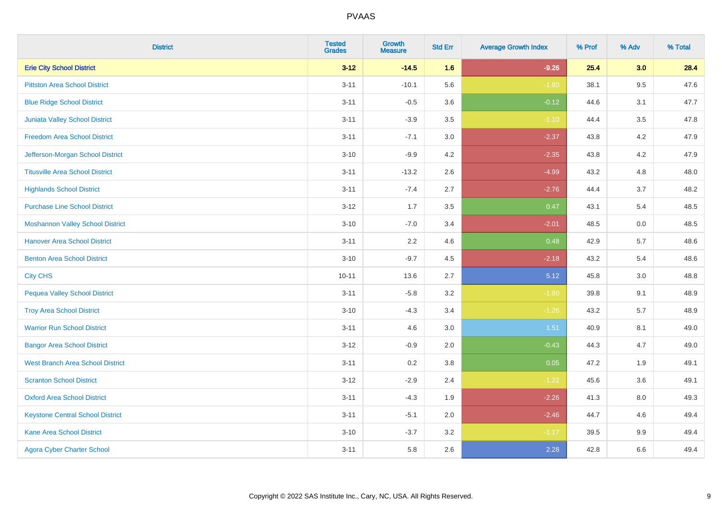| <b>District</b>                         | <b>Tested</b><br><b>Grades</b> | Growth<br><b>Measure</b> | <b>Std Err</b> | <b>Average Growth Index</b> | % Prof | % Adv   | % Total |
|-----------------------------------------|--------------------------------|--------------------------|----------------|-----------------------------|--------|---------|---------|
| <b>Erie City School District</b>        | $3 - 12$                       | $-14.5$                  | 1.6            | $-9.26$                     | 25.4   | 3.0     | 28.4    |
| <b>Pittston Area School District</b>    | $3 - 11$                       | $-10.1$                  | 5.6            | $-1.80$                     | 38.1   | 9.5     | 47.6    |
| <b>Blue Ridge School District</b>       | $3 - 11$                       | $-0.5$                   | 3.6            | $-0.12$                     | 44.6   | 3.1     | 47.7    |
| <b>Juniata Valley School District</b>   | $3 - 11$                       | $-3.9$                   | 3.5            | $-1.10$                     | 44.4   | $3.5\,$ | 47.8    |
| <b>Freedom Area School District</b>     | $3 - 11$                       | $-7.1$                   | 3.0            | $-2.37$                     | 43.8   | 4.2     | 47.9    |
| Jefferson-Morgan School District        | $3 - 10$                       | $-9.9$                   | 4.2            | $-2.35$                     | 43.8   | 4.2     | 47.9    |
| <b>Titusville Area School District</b>  | $3 - 11$                       | $-13.2$                  | 2.6            | $-4.99$                     | 43.2   | 4.8     | 48.0    |
| <b>Highlands School District</b>        | $3 - 11$                       | $-7.4$                   | 2.7            | $-2.76$                     | 44.4   | 3.7     | 48.2    |
| <b>Purchase Line School District</b>    | $3 - 12$                       | 1.7                      | 3.5            | 0.47                        | 43.1   | 5.4     | 48.5    |
| <b>Moshannon Valley School District</b> | $3 - 10$                       | $-7.0$                   | 3.4            | $-2.01$                     | 48.5   | 0.0     | 48.5    |
| <b>Hanover Area School District</b>     | $3 - 11$                       | 2.2                      | 4.6            | 0.48                        | 42.9   | 5.7     | 48.6    |
| <b>Benton Area School District</b>      | $3 - 10$                       | $-9.7$                   | 4.5            | $-2.18$                     | 43.2   | 5.4     | 48.6    |
| <b>City CHS</b>                         | $10 - 11$                      | 13.6                     | 2.7            | 5.12                        | 45.8   | 3.0     | 48.8    |
| <b>Pequea Valley School District</b>    | $3 - 11$                       | $-5.8$                   | 3.2            | $-1.80$                     | 39.8   | 9.1     | 48.9    |
| <b>Troy Area School District</b>        | $3 - 10$                       | $-4.3$                   | 3.4            | $-1.26$                     | 43.2   | 5.7     | 48.9    |
| <b>Warrior Run School District</b>      | $3 - 11$                       | 4.6                      | 3.0            | 1.51                        | 40.9   | 8.1     | 49.0    |
| <b>Bangor Area School District</b>      | $3 - 12$                       | $-0.9$                   | 2.0            | $-0.43$                     | 44.3   | 4.7     | 49.0    |
| <b>West Branch Area School District</b> | $3 - 11$                       | 0.2                      | 3.8            | 0.05                        | 47.2   | 1.9     | 49.1    |
| <b>Scranton School District</b>         | $3 - 12$                       | $-2.9$                   | 2.4            | $-1.22$                     | 45.6   | 3.6     | 49.1    |
| <b>Oxford Area School District</b>      | $3 - 11$                       | $-4.3$                   | 1.9            | $-2.26$                     | 41.3   | 8.0     | 49.3    |
| <b>Keystone Central School District</b> | $3 - 11$                       | $-5.1$                   | 2.0            | $-2.46$                     | 44.7   | 4.6     | 49.4    |
| <b>Kane Area School District</b>        | $3 - 10$                       | $-3.7$                   | 3.2            | $-1.17$                     | 39.5   | 9.9     | 49.4    |
| <b>Agora Cyber Charter School</b>       | $3 - 11$                       | 5.8                      | 2.6            | 2.28                        | 42.8   | 6.6     | 49.4    |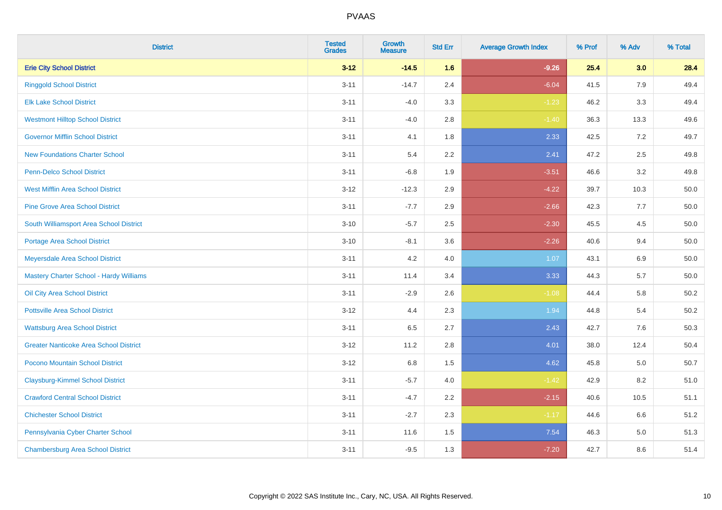| <b>District</b>                               | <b>Tested</b><br><b>Grades</b> | Growth<br><b>Measure</b> | <b>Std Err</b> | <b>Average Growth Index</b> | % Prof | % Adv   | % Total  |
|-----------------------------------------------|--------------------------------|--------------------------|----------------|-----------------------------|--------|---------|----------|
| <b>Erie City School District</b>              | $3 - 12$                       | $-14.5$                  | 1.6            | $-9.26$                     | 25.4   | 3.0     | 28.4     |
| <b>Ringgold School District</b>               | $3 - 11$                       | $-14.7$                  | 2.4            | $-6.04$                     | 41.5   | 7.9     | 49.4     |
| <b>Elk Lake School District</b>               | $3 - 11$                       | $-4.0$                   | 3.3            | $-1.23$                     | 46.2   | 3.3     | 49.4     |
| <b>Westmont Hilltop School District</b>       | $3 - 11$                       | $-4.0$                   | 2.8            | $-1.40$                     | 36.3   | 13.3    | 49.6     |
| <b>Governor Mifflin School District</b>       | $3 - 11$                       | 4.1                      | 1.8            | 2.33                        | 42.5   | 7.2     | 49.7     |
| <b>New Foundations Charter School</b>         | $3 - 11$                       | 5.4                      | 2.2            | 2.41                        | 47.2   | 2.5     | 49.8     |
| Penn-Delco School District                    | $3 - 11$                       | $-6.8$                   | 1.9            | $-3.51$                     | 46.6   | 3.2     | 49.8     |
| <b>West Mifflin Area School District</b>      | $3 - 12$                       | $-12.3$                  | 2.9            | $-4.22$                     | 39.7   | 10.3    | 50.0     |
| <b>Pine Grove Area School District</b>        | $3 - 11$                       | $-7.7$                   | 2.9            | $-2.66$                     | 42.3   | 7.7     | 50.0     |
| South Williamsport Area School District       | $3 - 10$                       | $-5.7$                   | 2.5            | $-2.30$                     | 45.5   | 4.5     | 50.0     |
| <b>Portage Area School District</b>           | $3 - 10$                       | $-8.1$                   | 3.6            | $-2.26$                     | 40.6   | 9.4     | 50.0     |
| Meyersdale Area School District               | $3 - 11$                       | 4.2                      | 4.0            | 1.07                        | 43.1   | 6.9     | 50.0     |
| Mastery Charter School - Hardy Williams       | $3 - 11$                       | 11.4                     | 3.4            | 3.33                        | 44.3   | 5.7     | $50.0\,$ |
| Oil City Area School District                 | $3 - 11$                       | $-2.9$                   | 2.6            | $-1.08$                     | 44.4   | 5.8     | 50.2     |
| <b>Pottsville Area School District</b>        | $3 - 12$                       | 4.4                      | 2.3            | 1.94                        | 44.8   | 5.4     | 50.2     |
| <b>Wattsburg Area School District</b>         | $3 - 11$                       | 6.5                      | 2.7            | 2.43                        | 42.7   | $7.6\,$ | 50.3     |
| <b>Greater Nanticoke Area School District</b> | $3 - 12$                       | 11.2                     | 2.8            | 4.01                        | 38.0   | 12.4    | 50.4     |
| Pocono Mountain School District               | $3 - 12$                       | 6.8                      | 1.5            | 4.62                        | 45.8   | 5.0     | 50.7     |
| <b>Claysburg-Kimmel School District</b>       | $3 - 11$                       | $-5.7$                   | 4.0            | $-1.42$                     | 42.9   | 8.2     | 51.0     |
| <b>Crawford Central School District</b>       | $3 - 11$                       | $-4.7$                   | 2.2            | $-2.15$                     | 40.6   | 10.5    | 51.1     |
| <b>Chichester School District</b>             | $3 - 11$                       | $-2.7$                   | 2.3            | $-1.17$                     | 44.6   | 6.6     | 51.2     |
| Pennsylvania Cyber Charter School             | $3 - 11$                       | 11.6                     | 1.5            | 7.54                        | 46.3   | $5.0\,$ | 51.3     |
| <b>Chambersburg Area School District</b>      | $3 - 11$                       | $-9.5$                   | 1.3            | $-7.20$                     | 42.7   | 8.6     | 51.4     |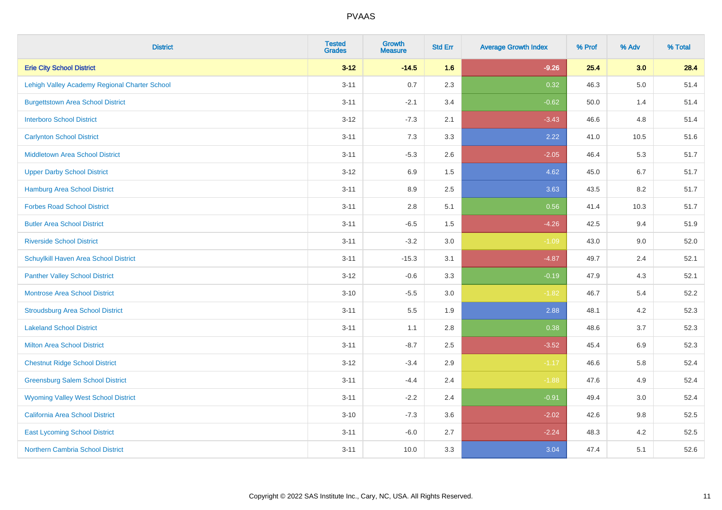| <b>District</b>                               | <b>Tested</b><br><b>Grades</b> | <b>Growth</b><br><b>Measure</b> | <b>Std Err</b> | <b>Average Growth Index</b> | % Prof | % Adv   | % Total |
|-----------------------------------------------|--------------------------------|---------------------------------|----------------|-----------------------------|--------|---------|---------|
| <b>Erie City School District</b>              | $3 - 12$                       | $-14.5$                         | 1.6            | $-9.26$                     | 25.4   | 3.0     | 28.4    |
| Lehigh Valley Academy Regional Charter School | $3 - 11$                       | 0.7                             | 2.3            | 0.32                        | 46.3   | $5.0\,$ | 51.4    |
| <b>Burgettstown Area School District</b>      | $3 - 11$                       | $-2.1$                          | 3.4            | $-0.62$                     | 50.0   | 1.4     | 51.4    |
| <b>Interboro School District</b>              | $3 - 12$                       | $-7.3$                          | 2.1            | $-3.43$                     | 46.6   | 4.8     | 51.4    |
| <b>Carlynton School District</b>              | $3 - 11$                       | 7.3                             | 3.3            | 2.22                        | 41.0   | 10.5    | 51.6    |
| <b>Middletown Area School District</b>        | $3 - 11$                       | $-5.3$                          | 2.6            | $-2.05$                     | 46.4   | 5.3     | 51.7    |
| <b>Upper Darby School District</b>            | $3 - 12$                       | 6.9                             | 1.5            | 4.62                        | 45.0   | 6.7     | 51.7    |
| <b>Hamburg Area School District</b>           | $3 - 11$                       | 8.9                             | 2.5            | 3.63                        | 43.5   | 8.2     | 51.7    |
| <b>Forbes Road School District</b>            | $3 - 11$                       | 2.8                             | 5.1            | 0.56                        | 41.4   | 10.3    | 51.7    |
| <b>Butler Area School District</b>            | $3 - 11$                       | $-6.5$                          | $1.5\,$        | $-4.26$                     | 42.5   | 9.4     | 51.9    |
| <b>Riverside School District</b>              | $3 - 11$                       | $-3.2$                          | 3.0            | $-1.09$                     | 43.0   | 9.0     | 52.0    |
| Schuylkill Haven Area School District         | $3 - 11$                       | $-15.3$                         | 3.1            | $-4.87$                     | 49.7   | 2.4     | 52.1    |
| <b>Panther Valley School District</b>         | $3 - 12$                       | $-0.6$                          | 3.3            | $-0.19$                     | 47.9   | 4.3     | 52.1    |
| Montrose Area School District                 | $3 - 10$                       | $-5.5$                          | 3.0            | $-1.82$                     | 46.7   | 5.4     | 52.2    |
| <b>Stroudsburg Area School District</b>       | $3 - 11$                       | 5.5                             | 1.9            | 2.88                        | 48.1   | 4.2     | 52.3    |
| <b>Lakeland School District</b>               | $3 - 11$                       | 1.1                             | 2.8            | 0.38                        | 48.6   | 3.7     | 52.3    |
| <b>Milton Area School District</b>            | $3 - 11$                       | $-8.7$                          | 2.5            | $-3.52$                     | 45.4   | 6.9     | 52.3    |
| <b>Chestnut Ridge School District</b>         | $3 - 12$                       | $-3.4$                          | 2.9            | $-1.17$                     | 46.6   | 5.8     | 52.4    |
| <b>Greensburg Salem School District</b>       | $3 - 11$                       | $-4.4$                          | 2.4            | $-1.88$                     | 47.6   | 4.9     | 52.4    |
| <b>Wyoming Valley West School District</b>    | $3 - 11$                       | $-2.2$                          | 2.4            | $-0.91$                     | 49.4   | 3.0     | 52.4    |
| <b>California Area School District</b>        | $3 - 10$                       | $-7.3$                          | 3.6            | $-2.02$                     | 42.6   | $9.8\,$ | 52.5    |
| <b>East Lycoming School District</b>          | $3 - 11$                       | $-6.0$                          | 2.7            | $-2.24$                     | 48.3   | 4.2     | 52.5    |
| <b>Northern Cambria School District</b>       | $3 - 11$                       | 10.0                            | 3.3            | 3.04                        | 47.4   | 5.1     | 52.6    |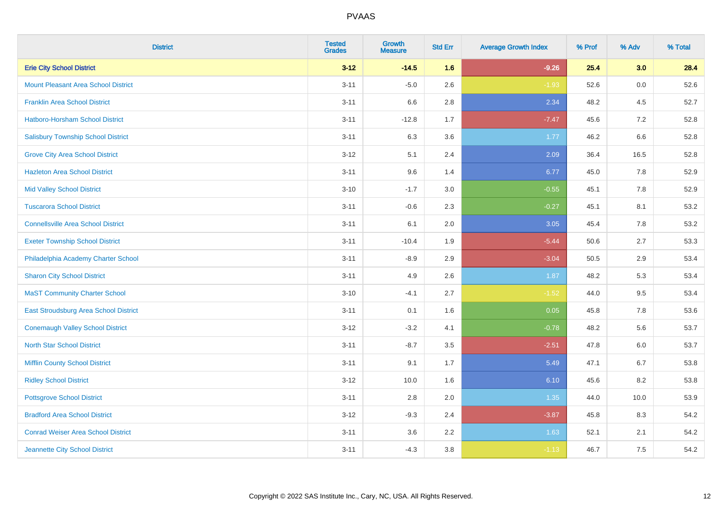| <b>District</b>                            | <b>Tested</b><br><b>Grades</b> | <b>Growth</b><br><b>Measure</b> | <b>Std Err</b> | <b>Average Growth Index</b> | % Prof | % Adv | % Total |
|--------------------------------------------|--------------------------------|---------------------------------|----------------|-----------------------------|--------|-------|---------|
| <b>Erie City School District</b>           | $3 - 12$                       | $-14.5$                         | 1.6            | $-9.26$                     | 25.4   | 3.0   | 28.4    |
| <b>Mount Pleasant Area School District</b> | $3 - 11$                       | $-5.0$                          | 2.6            | $-1.93$                     | 52.6   | 0.0   | 52.6    |
| <b>Franklin Area School District</b>       | $3 - 11$                       | 6.6                             | 2.8            | 2.34                        | 48.2   | 4.5   | 52.7    |
| <b>Hatboro-Horsham School District</b>     | $3 - 11$                       | $-12.8$                         | 1.7            | $-7.47$                     | 45.6   | 7.2   | 52.8    |
| <b>Salisbury Township School District</b>  | $3 - 11$                       | 6.3                             | 3.6            | 1.77                        | 46.2   | 6.6   | 52.8    |
| <b>Grove City Area School District</b>     | $3 - 12$                       | 5.1                             | 2.4            | 2.09                        | 36.4   | 16.5  | 52.8    |
| <b>Hazleton Area School District</b>       | $3 - 11$                       | 9.6                             | 1.4            | 6.77                        | 45.0   | 7.8   | 52.9    |
| <b>Mid Valley School District</b>          | $3 - 10$                       | $-1.7$                          | 3.0            | $-0.55$                     | 45.1   | 7.8   | 52.9    |
| <b>Tuscarora School District</b>           | $3 - 11$                       | $-0.6$                          | 2.3            | $-0.27$                     | 45.1   | 8.1   | 53.2    |
| <b>Connellsville Area School District</b>  | $3 - 11$                       | 6.1                             | 2.0            | 3.05                        | 45.4   | 7.8   | 53.2    |
| <b>Exeter Township School District</b>     | $3 - 11$                       | $-10.4$                         | 1.9            | $-5.44$                     | 50.6   | 2.7   | 53.3    |
| Philadelphia Academy Charter School        | $3 - 11$                       | $-8.9$                          | 2.9            | $-3.04$                     | 50.5   | 2.9   | 53.4    |
| <b>Sharon City School District</b>         | $3 - 11$                       | 4.9                             | 2.6            | 1.87                        | 48.2   | 5.3   | 53.4    |
| <b>MaST Community Charter School</b>       | $3 - 10$                       | $-4.1$                          | 2.7            | $-1.52$                     | 44.0   | 9.5   | 53.4    |
| East Stroudsburg Area School District      | $3 - 11$                       | 0.1                             | 1.6            | 0.05                        | 45.8   | 7.8   | 53.6    |
| <b>Conemaugh Valley School District</b>    | $3 - 12$                       | $-3.2$                          | 4.1            | $-0.78$                     | 48.2   | 5.6   | 53.7    |
| <b>North Star School District</b>          | $3 - 11$                       | $-8.7$                          | 3.5            | $-2.51$                     | 47.8   | 6.0   | 53.7    |
| <b>Mifflin County School District</b>      | $3 - 11$                       | 9.1                             | 1.7            | 5.49                        | 47.1   | 6.7   | 53.8    |
| <b>Ridley School District</b>              | $3 - 12$                       | 10.0                            | 1.6            | 6.10                        | 45.6   | 8.2   | 53.8    |
| <b>Pottsgrove School District</b>          | $3 - 11$                       | 2.8                             | 2.0            | 1.35                        | 44.0   | 10.0  | 53.9    |
| <b>Bradford Area School District</b>       | $3 - 12$                       | $-9.3$                          | 2.4            | $-3.87$                     | 45.8   | 8.3   | 54.2    |
| <b>Conrad Weiser Area School District</b>  | $3 - 11$                       | 3.6                             | 2.2            | 1.63                        | 52.1   | 2.1   | 54.2    |
| Jeannette City School District             | $3 - 11$                       | $-4.3$                          | 3.8            | $-1.13$                     | 46.7   | 7.5   | 54.2    |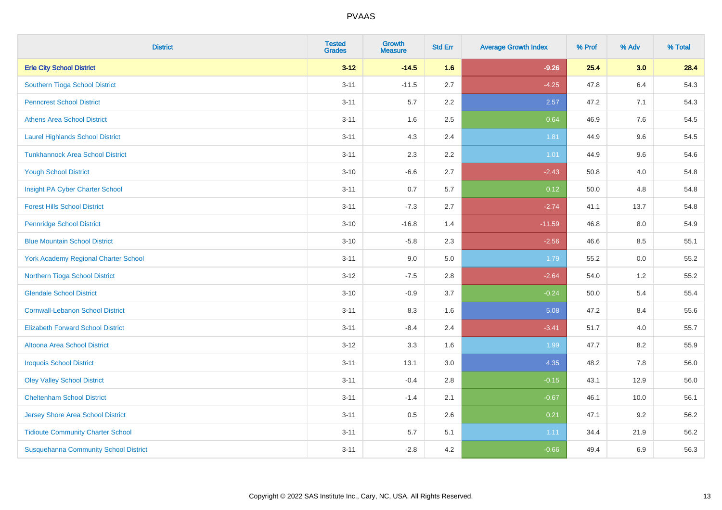| <b>District</b>                              | <b>Tested</b><br><b>Grades</b> | <b>Growth</b><br><b>Measure</b> | <b>Std Err</b> | <b>Average Growth Index</b> | % Prof | % Adv | % Total |
|----------------------------------------------|--------------------------------|---------------------------------|----------------|-----------------------------|--------|-------|---------|
| <b>Erie City School District</b>             | $3 - 12$                       | $-14.5$                         | 1.6            | $-9.26$                     | 25.4   | 3.0   | 28.4    |
| Southern Tioga School District               | $3 - 11$                       | $-11.5$                         | 2.7            | $-4.25$                     | 47.8   | 6.4   | 54.3    |
| <b>Penncrest School District</b>             | $3 - 11$                       | 5.7                             | 2.2            | 2.57                        | 47.2   | 7.1   | 54.3    |
| <b>Athens Area School District</b>           | $3 - 11$                       | 1.6                             | 2.5            | 0.64                        | 46.9   | 7.6   | 54.5    |
| <b>Laurel Highlands School District</b>      | $3 - 11$                       | 4.3                             | 2.4            | 1.81                        | 44.9   | 9.6   | 54.5    |
| <b>Tunkhannock Area School District</b>      | $3 - 11$                       | 2.3                             | 2.2            | $1.01$                      | 44.9   | 9.6   | 54.6    |
| <b>Yough School District</b>                 | $3 - 10$                       | $-6.6$                          | 2.7            | $-2.43$                     | 50.8   | 4.0   | 54.8    |
| Insight PA Cyber Charter School              | $3 - 11$                       | 0.7                             | 5.7            | 0.12                        | 50.0   | 4.8   | 54.8    |
| <b>Forest Hills School District</b>          | $3 - 11$                       | $-7.3$                          | 2.7            | $-2.74$                     | 41.1   | 13.7  | 54.8    |
| <b>Pennridge School District</b>             | $3 - 10$                       | $-16.8$                         | 1.4            | $-11.59$                    | 46.8   | 8.0   | 54.9    |
| <b>Blue Mountain School District</b>         | $3 - 10$                       | $-5.8$                          | 2.3            | $-2.56$                     | 46.6   | 8.5   | 55.1    |
| <b>York Academy Regional Charter School</b>  | $3 - 11$                       | 9.0                             | 5.0            | 1.79                        | 55.2   | 0.0   | 55.2    |
| Northern Tioga School District               | $3 - 12$                       | $-7.5$                          | 2.8            | $-2.64$                     | 54.0   | 1.2   | 55.2    |
| <b>Glendale School District</b>              | $3 - 10$                       | $-0.9$                          | 3.7            | $-0.24$                     | 50.0   | 5.4   | 55.4    |
| <b>Cornwall-Lebanon School District</b>      | $3 - 11$                       | 8.3                             | 1.6            | 5.08                        | 47.2   | 8.4   | 55.6    |
| <b>Elizabeth Forward School District</b>     | $3 - 11$                       | $-8.4$                          | 2.4            | $-3.41$                     | 51.7   | 4.0   | 55.7    |
| <b>Altoona Area School District</b>          | $3 - 12$                       | 3.3                             | 1.6            | 1.99                        | 47.7   | 8.2   | 55.9    |
| <b>Iroquois School District</b>              | $3 - 11$                       | 13.1                            | 3.0            | 4.35                        | 48.2   | 7.8   | 56.0    |
| <b>Oley Valley School District</b>           | $3 - 11$                       | $-0.4$                          | 2.8            | $-0.15$                     | 43.1   | 12.9  | 56.0    |
| <b>Cheltenham School District</b>            | $3 - 11$                       | $-1.4$                          | 2.1            | $-0.67$                     | 46.1   | 10.0  | 56.1    |
| Jersey Shore Area School District            | $3 - 11$                       | 0.5                             | 2.6            | 0.21                        | 47.1   | 9.2   | 56.2    |
| <b>Tidioute Community Charter School</b>     | $3 - 11$                       | 5.7                             | 5.1            | 1.11                        | 34.4   | 21.9  | 56.2    |
| <b>Susquehanna Community School District</b> | $3 - 11$                       | $-2.8$                          | 4.2            | $-0.66$                     | 49.4   | 6.9   | 56.3    |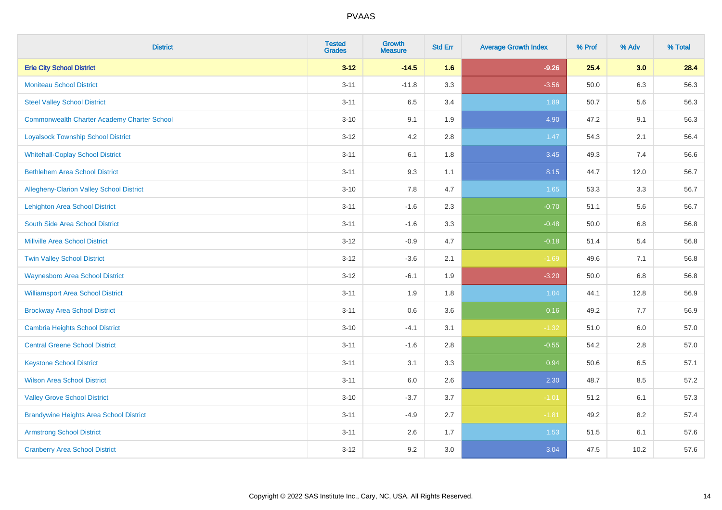| <b>District</b>                                    | <b>Tested</b><br><b>Grades</b> | <b>Growth</b><br><b>Measure</b> | <b>Std Err</b> | <b>Average Growth Index</b> | % Prof | % Adv | % Total |
|----------------------------------------------------|--------------------------------|---------------------------------|----------------|-----------------------------|--------|-------|---------|
| <b>Erie City School District</b>                   | $3 - 12$                       | $-14.5$                         | 1.6            | $-9.26$                     | 25.4   | 3.0   | 28.4    |
| <b>Moniteau School District</b>                    | $3 - 11$                       | $-11.8$                         | 3.3            | $-3.56$                     | 50.0   | 6.3   | 56.3    |
| <b>Steel Valley School District</b>                | $3 - 11$                       | 6.5                             | 3.4            | 1.89                        | 50.7   | 5.6   | 56.3    |
| <b>Commonwealth Charter Academy Charter School</b> | $3 - 10$                       | 9.1                             | 1.9            | 4.90                        | 47.2   | 9.1   | 56.3    |
| <b>Loyalsock Township School District</b>          | $3 - 12$                       | 4.2                             | 2.8            | 1.47                        | 54.3   | 2.1   | 56.4    |
| <b>Whitehall-Coplay School District</b>            | $3 - 11$                       | 6.1                             | 1.8            | 3.45                        | 49.3   | 7.4   | 56.6    |
| <b>Bethlehem Area School District</b>              | $3 - 11$                       | 9.3                             | 1.1            | 8.15                        | 44.7   | 12.0  | 56.7    |
| Allegheny-Clarion Valley School District           | $3 - 10$                       | 7.8                             | 4.7            | 1.65                        | 53.3   | 3.3   | 56.7    |
| <b>Lehighton Area School District</b>              | $3 - 11$                       | $-1.6$                          | 2.3            | $-0.70$                     | 51.1   | 5.6   | 56.7    |
| South Side Area School District                    | $3 - 11$                       | $-1.6$                          | 3.3            | $-0.48$                     | 50.0   | 6.8   | 56.8    |
| <b>Millville Area School District</b>              | $3 - 12$                       | $-0.9$                          | 4.7            | $-0.18$                     | 51.4   | 5.4   | 56.8    |
| <b>Twin Valley School District</b>                 | $3 - 12$                       | $-3.6$                          | 2.1            | $-1.69$                     | 49.6   | 7.1   | 56.8    |
| <b>Waynesboro Area School District</b>             | $3 - 12$                       | $-6.1$                          | 1.9            | $-3.20$                     | 50.0   | 6.8   | 56.8    |
| <b>Williamsport Area School District</b>           | $3 - 11$                       | 1.9                             | 1.8            | 1.04                        | 44.1   | 12.8  | 56.9    |
| <b>Brockway Area School District</b>               | $3 - 11$                       | $0.6\,$                         | 3.6            | 0.16                        | 49.2   | 7.7   | 56.9    |
| <b>Cambria Heights School District</b>             | $3 - 10$                       | $-4.1$                          | 3.1            | $-1.32$                     | 51.0   | 6.0   | 57.0    |
| <b>Central Greene School District</b>              | $3 - 11$                       | $-1.6$                          | 2.8            | $-0.55$                     | 54.2   | 2.8   | 57.0    |
| <b>Keystone School District</b>                    | $3 - 11$                       | 3.1                             | 3.3            | 0.94                        | 50.6   | 6.5   | 57.1    |
| <b>Wilson Area School District</b>                 | $3 - 11$                       | 6.0                             | 2.6            | 2.30                        | 48.7   | 8.5   | 57.2    |
| <b>Valley Grove School District</b>                | $3 - 10$                       | $-3.7$                          | 3.7            | $-1.01$                     | 51.2   | 6.1   | 57.3    |
| <b>Brandywine Heights Area School District</b>     | $3 - 11$                       | $-4.9$                          | 2.7            | $-1.81$                     | 49.2   | 8.2   | 57.4    |
| <b>Armstrong School District</b>                   | $3 - 11$                       | 2.6                             | 1.7            | 1.53                        | 51.5   | 6.1   | 57.6    |
| <b>Cranberry Area School District</b>              | $3 - 12$                       | 9.2                             | 3.0            | 3.04                        | 47.5   | 10.2  | 57.6    |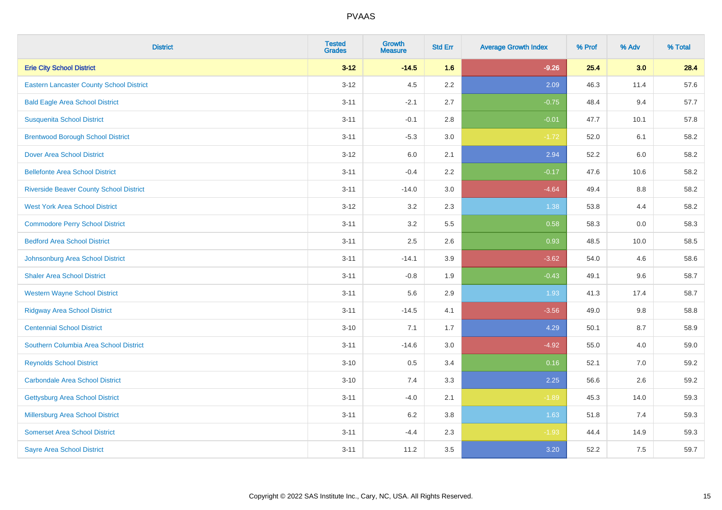| <b>District</b>                                 | <b>Tested</b><br><b>Grades</b> | <b>Growth</b><br><b>Measure</b> | <b>Std Err</b> | <b>Average Growth Index</b> | % Prof | % Adv | % Total |
|-------------------------------------------------|--------------------------------|---------------------------------|----------------|-----------------------------|--------|-------|---------|
| <b>Erie City School District</b>                | $3 - 12$                       | $-14.5$                         | 1.6            | $-9.26$                     | 25.4   | 3.0   | 28.4    |
| <b>Eastern Lancaster County School District</b> | $3 - 12$                       | 4.5                             | 2.2            | 2.09                        | 46.3   | 11.4  | 57.6    |
| <b>Bald Eagle Area School District</b>          | $3 - 11$                       | $-2.1$                          | 2.7            | $-0.75$                     | 48.4   | 9.4   | 57.7    |
| <b>Susquenita School District</b>               | $3 - 11$                       | $-0.1$                          | 2.8            | $-0.01$                     | 47.7   | 10.1  | 57.8    |
| <b>Brentwood Borough School District</b>        | $3 - 11$                       | $-5.3$                          | $3.0\,$        | $-1.72$                     | 52.0   | 6.1   | 58.2    |
| <b>Dover Area School District</b>               | $3 - 12$                       | 6.0                             | 2.1            | 2.94                        | 52.2   | 6.0   | 58.2    |
| <b>Bellefonte Area School District</b>          | $3 - 11$                       | $-0.4$                          | 2.2            | $-0.17$                     | 47.6   | 10.6  | 58.2    |
| <b>Riverside Beaver County School District</b>  | $3 - 11$                       | $-14.0$                         | 3.0            | $-4.64$                     | 49.4   | 8.8   | 58.2    |
| <b>West York Area School District</b>           | $3 - 12$                       | 3.2                             | 2.3            | 1.38                        | 53.8   | 4.4   | 58.2    |
| <b>Commodore Perry School District</b>          | $3 - 11$                       | 3.2                             | 5.5            | 0.58                        | 58.3   | 0.0   | 58.3    |
| <b>Bedford Area School District</b>             | $3 - 11$                       | 2.5                             | 2.6            | 0.93                        | 48.5   | 10.0  | 58.5    |
| Johnsonburg Area School District                | $3 - 11$                       | $-14.1$                         | 3.9            | $-3.62$                     | 54.0   | 4.6   | 58.6    |
| <b>Shaler Area School District</b>              | $3 - 11$                       | $-0.8$                          | 1.9            | $-0.43$                     | 49.1   | 9.6   | 58.7    |
| <b>Western Wayne School District</b>            | $3 - 11$                       | 5.6                             | 2.9            | 1.93                        | 41.3   | 17.4  | 58.7    |
| <b>Ridgway Area School District</b>             | $3 - 11$                       | $-14.5$                         | 4.1            | $-3.56$                     | 49.0   | 9.8   | 58.8    |
| <b>Centennial School District</b>               | $3 - 10$                       | 7.1                             | 1.7            | 4.29                        | 50.1   | 8.7   | 58.9    |
| Southern Columbia Area School District          | $3 - 11$                       | $-14.6$                         | 3.0            | $-4.92$                     | 55.0   | 4.0   | 59.0    |
| <b>Reynolds School District</b>                 | $3 - 10$                       | 0.5                             | 3.4            | 0.16                        | 52.1   | 7.0   | 59.2    |
| <b>Carbondale Area School District</b>          | $3 - 10$                       | 7.4                             | 3.3            | 2.25                        | 56.6   | 2.6   | 59.2    |
| <b>Gettysburg Area School District</b>          | $3 - 11$                       | $-4.0$                          | 2.1            | $-1.89$                     | 45.3   | 14.0  | 59.3    |
| <b>Millersburg Area School District</b>         | $3 - 11$                       | 6.2                             | 3.8            | 1.63                        | 51.8   | 7.4   | 59.3    |
| <b>Somerset Area School District</b>            | $3 - 11$                       | $-4.4$                          | 2.3            | $-1.93$                     | 44.4   | 14.9  | 59.3    |
| <b>Sayre Area School District</b>               | $3 - 11$                       | 11.2                            | 3.5            | 3.20                        | 52.2   | 7.5   | 59.7    |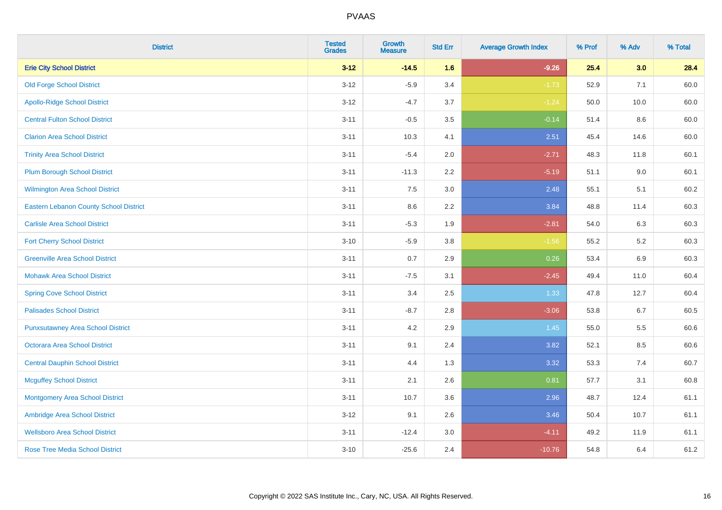| <b>District</b>                               | <b>Tested</b><br><b>Grades</b> | <b>Growth</b><br><b>Measure</b> | <b>Std Err</b> | <b>Average Growth Index</b> | % Prof | % Adv   | % Total |
|-----------------------------------------------|--------------------------------|---------------------------------|----------------|-----------------------------|--------|---------|---------|
| <b>Erie City School District</b>              | $3 - 12$                       | $-14.5$                         | 1.6            | $-9.26$                     | 25.4   | 3.0     | 28.4    |
| <b>Old Forge School District</b>              | $3 - 12$                       | $-5.9$                          | 3.4            | $-1.73$                     | 52.9   | 7.1     | 60.0    |
| <b>Apollo-Ridge School District</b>           | $3-12$                         | $-4.7$                          | 3.7            | $-1.24$                     | 50.0   | 10.0    | 60.0    |
| <b>Central Fulton School District</b>         | $3 - 11$                       | $-0.5$                          | 3.5            | $-0.14$                     | 51.4   | 8.6     | 60.0    |
| <b>Clarion Area School District</b>           | $3 - 11$                       | 10.3                            | 4.1            | 2.51                        | 45.4   | 14.6    | 60.0    |
| <b>Trinity Area School District</b>           | $3 - 11$                       | $-5.4$                          | 2.0            | $-2.71$                     | 48.3   | 11.8    | 60.1    |
| <b>Plum Borough School District</b>           | $3 - 11$                       | $-11.3$                         | 2.2            | $-5.19$                     | 51.1   | $9.0\,$ | 60.1    |
| <b>Wilmington Area School District</b>        | $3 - 11$                       | 7.5                             | 3.0            | 2.48                        | 55.1   | 5.1     | 60.2    |
| <b>Eastern Lebanon County School District</b> | $3 - 11$                       | 8.6                             | 2.2            | 3.84                        | 48.8   | 11.4    | 60.3    |
| <b>Carlisle Area School District</b>          | $3 - 11$                       | $-5.3$                          | 1.9            | $-2.81$                     | 54.0   | 6.3     | 60.3    |
| <b>Fort Cherry School District</b>            | $3 - 10$                       | $-5.9$                          | 3.8            | $-1.56$                     | 55.2   | $5.2\,$ | 60.3    |
| <b>Greenville Area School District</b>        | $3 - 11$                       | 0.7                             | 2.9            | 0.26                        | 53.4   | 6.9     | 60.3    |
| <b>Mohawk Area School District</b>            | $3 - 11$                       | $-7.5$                          | 3.1            | $-2.45$                     | 49.4   | 11.0    | 60.4    |
| <b>Spring Cove School District</b>            | $3 - 11$                       | 3.4                             | 2.5            | 1.33                        | 47.8   | 12.7    | 60.4    |
| <b>Palisades School District</b>              | $3 - 11$                       | $-8.7$                          | 2.8            | $-3.06$                     | 53.8   | $6.7\,$ | 60.5    |
| <b>Punxsutawney Area School District</b>      | $3 - 11$                       | 4.2                             | 2.9            | 1.45                        | 55.0   | 5.5     | 60.6    |
| <b>Octorara Area School District</b>          | $3 - 11$                       | 9.1                             | 2.4            | 3.82                        | 52.1   | 8.5     | 60.6    |
| <b>Central Dauphin School District</b>        | $3 - 11$                       | 4.4                             | 1.3            | 3.32                        | 53.3   | 7.4     | 60.7    |
| <b>Mcguffey School District</b>               | $3 - 11$                       | 2.1                             | 2.6            | 0.81                        | 57.7   | 3.1     | 60.8    |
| <b>Montgomery Area School District</b>        | $3 - 11$                       | 10.7                            | 3.6            | 2.96                        | 48.7   | 12.4    | 61.1    |
| Ambridge Area School District                 | $3 - 12$                       | 9.1                             | 2.6            | 3.46                        | 50.4   | 10.7    | 61.1    |
| <b>Wellsboro Area School District</b>         | $3 - 11$                       | $-12.4$                         | 3.0            | $-4.11$                     | 49.2   | 11.9    | 61.1    |
| <b>Rose Tree Media School District</b>        | $3 - 10$                       | $-25.6$                         | 2.4            | $-10.76$                    | 54.8   | 6.4     | 61.2    |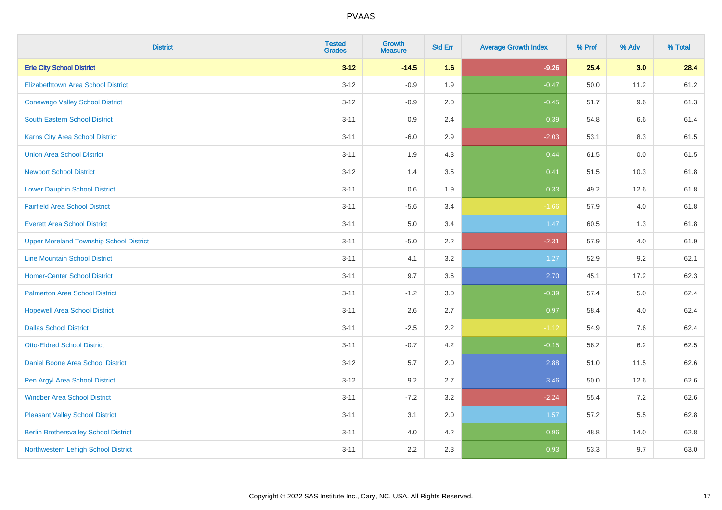| <b>District</b>                                | <b>Tested</b><br><b>Grades</b> | Growth<br><b>Measure</b> | <b>Std Err</b> | <b>Average Growth Index</b> | % Prof | % Adv   | % Total |
|------------------------------------------------|--------------------------------|--------------------------|----------------|-----------------------------|--------|---------|---------|
| <b>Erie City School District</b>               | $3 - 12$                       | $-14.5$                  | 1.6            | $-9.26$                     | 25.4   | 3.0     | 28.4    |
| <b>Elizabethtown Area School District</b>      | $3 - 12$                       | $-0.9$                   | 1.9            | $-0.47$                     | 50.0   | 11.2    | 61.2    |
| <b>Conewago Valley School District</b>         | $3 - 12$                       | $-0.9$                   | 2.0            | $-0.45$                     | 51.7   | 9.6     | 61.3    |
| <b>South Eastern School District</b>           | $3 - 11$                       | 0.9                      | 2.4            | 0.39                        | 54.8   | $6.6\,$ | 61.4    |
| Karns City Area School District                | $3 - 11$                       | $-6.0$                   | 2.9            | $-2.03$                     | 53.1   | 8.3     | 61.5    |
| <b>Union Area School District</b>              | $3 - 11$                       | 1.9                      | 4.3            | 0.44                        | 61.5   | 0.0     | 61.5    |
| <b>Newport School District</b>                 | $3 - 12$                       | 1.4                      | 3.5            | 0.41                        | 51.5   | 10.3    | 61.8    |
| <b>Lower Dauphin School District</b>           | $3 - 11$                       | $0.6\,$                  | 1.9            | 0.33                        | 49.2   | 12.6    | 61.8    |
| <b>Fairfield Area School District</b>          | $3 - 11$                       | $-5.6$                   | 3.4            | $-1.66$                     | 57.9   | 4.0     | 61.8    |
| <b>Everett Area School District</b>            | $3 - 11$                       | 5.0                      | 3.4            | 1.47                        | 60.5   | 1.3     | 61.8    |
| <b>Upper Moreland Township School District</b> | $3 - 11$                       | $-5.0$                   | 2.2            | $-2.31$                     | 57.9   | 4.0     | 61.9    |
| <b>Line Mountain School District</b>           | $3 - 11$                       | 4.1                      | 3.2            | 1.27                        | 52.9   | 9.2     | 62.1    |
| <b>Homer-Center School District</b>            | $3 - 11$                       | 9.7                      | 3.6            | 2.70                        | 45.1   | 17.2    | 62.3    |
| <b>Palmerton Area School District</b>          | $3 - 11$                       | $-1.2$                   | 3.0            | $-0.39$                     | 57.4   | 5.0     | 62.4    |
| <b>Hopewell Area School District</b>           | $3 - 11$                       | 2.6                      | 2.7            | 0.97                        | 58.4   | 4.0     | 62.4    |
| <b>Dallas School District</b>                  | $3 - 11$                       | $-2.5$                   | 2.2            | $-1.12$                     | 54.9   | $7.6\,$ | 62.4    |
| <b>Otto-Eldred School District</b>             | $3 - 11$                       | $-0.7$                   | 4.2            | $-0.15$                     | 56.2   | 6.2     | 62.5    |
| Daniel Boone Area School District              | $3 - 12$                       | 5.7                      | 2.0            | 2.88                        | 51.0   | 11.5    | 62.6    |
| Pen Argyl Area School District                 | $3 - 12$                       | 9.2                      | 2.7            | 3.46                        | 50.0   | 12.6    | 62.6    |
| <b>Windber Area School District</b>            | $3 - 11$                       | $-7.2$                   | 3.2            | $-2.24$                     | 55.4   | 7.2     | 62.6    |
| <b>Pleasant Valley School District</b>         | $3 - 11$                       | 3.1                      | 2.0            | 1.57                        | 57.2   | 5.5     | 62.8    |
| <b>Berlin Brothersvalley School District</b>   | $3 - 11$                       | 4.0                      | 4.2            | 0.96                        | 48.8   | 14.0    | 62.8    |
| Northwestern Lehigh School District            | $3 - 11$                       | 2.2                      | 2.3            | 0.93                        | 53.3   | 9.7     | 63.0    |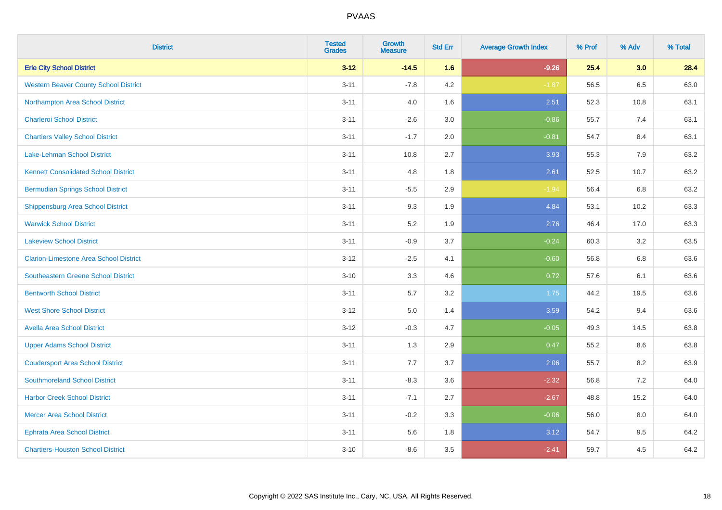| <b>District</b>                               | <b>Tested</b><br><b>Grades</b> | <b>Growth</b><br><b>Measure</b> | <b>Std Err</b> | <b>Average Growth Index</b> | % Prof | % Adv | % Total |
|-----------------------------------------------|--------------------------------|---------------------------------|----------------|-----------------------------|--------|-------|---------|
| <b>Erie City School District</b>              | $3 - 12$                       | $-14.5$                         | 1.6            | $-9.26$                     | 25.4   | 3.0   | 28.4    |
| <b>Western Beaver County School District</b>  | $3 - 11$                       | $-7.8$                          | 4.2            | $-1.87$                     | 56.5   | 6.5   | 63.0    |
| Northampton Area School District              | $3 - 11$                       | 4.0                             | 1.6            | 2.51                        | 52.3   | 10.8  | 63.1    |
| <b>Charleroi School District</b>              | $3 - 11$                       | $-2.6$                          | 3.0            | $-0.86$                     | 55.7   | 7.4   | 63.1    |
| <b>Chartiers Valley School District</b>       | $3 - 11$                       | $-1.7$                          | 2.0            | $-0.81$                     | 54.7   | 8.4   | 63.1    |
| <b>Lake-Lehman School District</b>            | $3 - 11$                       | 10.8                            | 2.7            | 3.93                        | 55.3   | 7.9   | 63.2    |
| <b>Kennett Consolidated School District</b>   | $3 - 11$                       | 4.8                             | 1.8            | 2.61                        | 52.5   | 10.7  | 63.2    |
| <b>Bermudian Springs School District</b>      | $3 - 11$                       | $-5.5$                          | 2.9            | $-1.94$                     | 56.4   | 6.8   | 63.2    |
| <b>Shippensburg Area School District</b>      | $3 - 11$                       | 9.3                             | 1.9            | 4.84                        | 53.1   | 10.2  | 63.3    |
| <b>Warwick School District</b>                | $3 - 11$                       | 5.2                             | 1.9            | 2.76                        | 46.4   | 17.0  | 63.3    |
| <b>Lakeview School District</b>               | $3 - 11$                       | $-0.9$                          | 3.7            | $-0.24$                     | 60.3   | 3.2   | 63.5    |
| <b>Clarion-Limestone Area School District</b> | $3 - 12$                       | $-2.5$                          | 4.1            | $-0.60$                     | 56.8   | 6.8   | 63.6    |
| <b>Southeastern Greene School District</b>    | $3 - 10$                       | 3.3                             | 4.6            | 0.72                        | 57.6   | 6.1   | 63.6    |
| <b>Bentworth School District</b>              | $3 - 11$                       | 5.7                             | 3.2            | 1.75                        | 44.2   | 19.5  | 63.6    |
| <b>West Shore School District</b>             | $3 - 12$                       | 5.0                             | 1.4            | 3.59                        | 54.2   | 9.4   | 63.6    |
| <b>Avella Area School District</b>            | $3 - 12$                       | $-0.3$                          | 4.7            | $-0.05$                     | 49.3   | 14.5  | 63.8    |
| <b>Upper Adams School District</b>            | $3 - 11$                       | 1.3                             | 2.9            | 0.47                        | 55.2   | 8.6   | 63.8    |
| <b>Coudersport Area School District</b>       | $3 - 11$                       | 7.7                             | 3.7            | 2.06                        | 55.7   | 8.2   | 63.9    |
| <b>Southmoreland School District</b>          | $3 - 11$                       | $-8.3$                          | 3.6            | $-2.32$                     | 56.8   | 7.2   | 64.0    |
| <b>Harbor Creek School District</b>           | $3 - 11$                       | $-7.1$                          | 2.7            | $-2.67$                     | 48.8   | 15.2  | 64.0    |
| <b>Mercer Area School District</b>            | $3 - 11$                       | $-0.2$                          | 3.3            | $-0.06$                     | 56.0   | 8.0   | 64.0    |
| <b>Ephrata Area School District</b>           | $3 - 11$                       | 5.6                             | 1.8            | 3.12                        | 54.7   | 9.5   | 64.2    |
| <b>Chartiers-Houston School District</b>      | $3 - 10$                       | $-8.6$                          | 3.5            | $-2.41$                     | 59.7   | 4.5   | 64.2    |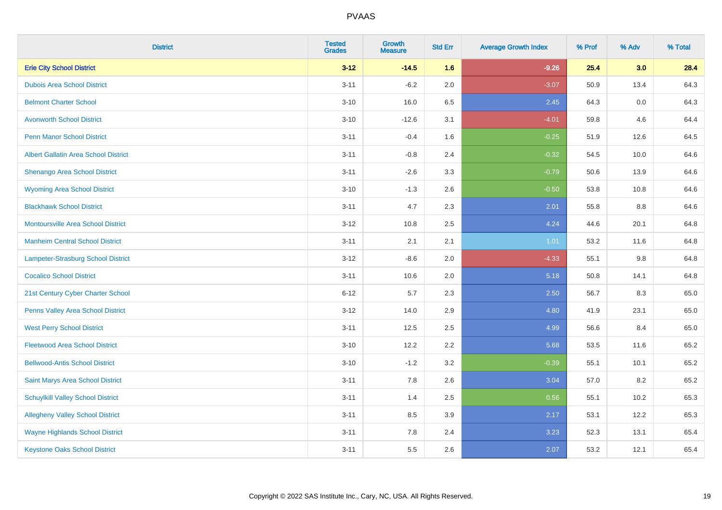| <b>District</b>                             | <b>Tested</b><br><b>Grades</b> | <b>Growth</b><br><b>Measure</b> | <b>Std Err</b> | <b>Average Growth Index</b> | % Prof | % Adv | % Total |
|---------------------------------------------|--------------------------------|---------------------------------|----------------|-----------------------------|--------|-------|---------|
| <b>Erie City School District</b>            | $3 - 12$                       | $-14.5$                         | 1.6            | $-9.26$                     | 25.4   | 3.0   | 28.4    |
| <b>Dubois Area School District</b>          | $3 - 11$                       | $-6.2$                          | 2.0            | $-3.07$                     | 50.9   | 13.4  | 64.3    |
| <b>Belmont Charter School</b>               | $3 - 10$                       | 16.0                            | 6.5            | 2.45                        | 64.3   | 0.0   | 64.3    |
| <b>Avonworth School District</b>            | $3 - 10$                       | $-12.6$                         | 3.1            | $-4.01$                     | 59.8   | 4.6   | 64.4    |
| <b>Penn Manor School District</b>           | $3 - 11$                       | $-0.4$                          | 1.6            | $-0.25$                     | 51.9   | 12.6  | 64.5    |
| <b>Albert Gallatin Area School District</b> | $3 - 11$                       | $-0.8$                          | 2.4            | $-0.32$                     | 54.5   | 10.0  | 64.6    |
| Shenango Area School District               | $3 - 11$                       | $-2.6$                          | 3.3            | $-0.79$                     | 50.6   | 13.9  | 64.6    |
| <b>Wyoming Area School District</b>         | $3 - 10$                       | $-1.3$                          | 2.6            | $-0.50$                     | 53.8   | 10.8  | 64.6    |
| <b>Blackhawk School District</b>            | $3 - 11$                       | 4.7                             | 2.3            | 2.01                        | 55.8   | 8.8   | 64.6    |
| <b>Montoursville Area School District</b>   | $3-12$                         | 10.8                            | 2.5            | 4.24                        | 44.6   | 20.1  | 64.8    |
| <b>Manheim Central School District</b>      | $3 - 11$                       | 2.1                             | 2.1            | 1.01                        | 53.2   | 11.6  | 64.8    |
| Lampeter-Strasburg School District          | $3 - 12$                       | $-8.6$                          | 2.0            | $-4.33$                     | 55.1   | 9.8   | 64.8    |
| <b>Cocalico School District</b>             | $3 - 11$                       | 10.6                            | 2.0            | 5.18                        | 50.8   | 14.1  | 64.8    |
| 21st Century Cyber Charter School           | $6 - 12$                       | 5.7                             | 2.3            | 2.50                        | 56.7   | 8.3   | 65.0    |
| Penns Valley Area School District           | $3 - 12$                       | 14.0                            | 2.9            | 4.80                        | 41.9   | 23.1  | 65.0    |
| <b>West Perry School District</b>           | $3 - 11$                       | 12.5                            | 2.5            | 4.99                        | 56.6   | 8.4   | 65.0    |
| <b>Fleetwood Area School District</b>       | $3 - 10$                       | 12.2                            | 2.2            | 5.68                        | 53.5   | 11.6  | 65.2    |
| <b>Bellwood-Antis School District</b>       | $3 - 10$                       | $-1.2$                          | 3.2            | $-0.39$                     | 55.1   | 10.1  | 65.2    |
| Saint Marys Area School District            | $3 - 11$                       | 7.8                             | 2.6            | 3.04                        | 57.0   | 8.2   | 65.2    |
| <b>Schuylkill Valley School District</b>    | $3 - 11$                       | 1.4                             | 2.5            | 0.56                        | 55.1   | 10.2  | 65.3    |
| <b>Allegheny Valley School District</b>     | $3 - 11$                       | 8.5                             | 3.9            | 2.17                        | 53.1   | 12.2  | 65.3    |
| <b>Wayne Highlands School District</b>      | $3 - 11$                       | 7.8                             | 2.4            | 3.23                        | 52.3   | 13.1  | 65.4    |
| <b>Keystone Oaks School District</b>        | $3 - 11$                       | 5.5                             | 2.6            | 2.07                        | 53.2   | 12.1  | 65.4    |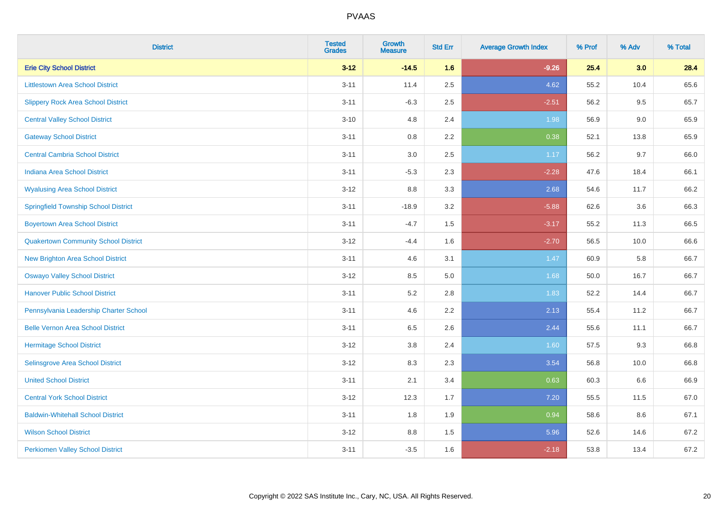| <b>District</b>                             | <b>Tested</b><br><b>Grades</b> | <b>Growth</b><br><b>Measure</b> | <b>Std Err</b> | <b>Average Growth Index</b> | % Prof | % Adv | % Total |
|---------------------------------------------|--------------------------------|---------------------------------|----------------|-----------------------------|--------|-------|---------|
| <b>Erie City School District</b>            | $3 - 12$                       | $-14.5$                         | 1.6            | $-9.26$                     | 25.4   | 3.0   | 28.4    |
| <b>Littlestown Area School District</b>     | $3 - 11$                       | 11.4                            | 2.5            | 4.62                        | 55.2   | 10.4  | 65.6    |
| <b>Slippery Rock Area School District</b>   | $3 - 11$                       | $-6.3$                          | 2.5            | $-2.51$                     | 56.2   | 9.5   | 65.7    |
| <b>Central Valley School District</b>       | $3 - 10$                       | 4.8                             | 2.4            | 1.98                        | 56.9   | 9.0   | 65.9    |
| <b>Gateway School District</b>              | $3 - 11$                       | 0.8                             | 2.2            | 0.38                        | 52.1   | 13.8  | 65.9    |
| <b>Central Cambria School District</b>      | $3 - 11$                       | 3.0                             | 2.5            | 1.17                        | 56.2   | 9.7   | 66.0    |
| Indiana Area School District                | $3 - 11$                       | $-5.3$                          | 2.3            | $-2.28$                     | 47.6   | 18.4  | 66.1    |
| <b>Wyalusing Area School District</b>       | $3 - 12$                       | 8.8                             | 3.3            | 2.68                        | 54.6   | 11.7  | 66.2    |
| <b>Springfield Township School District</b> | $3 - 11$                       | $-18.9$                         | 3.2            | $-5.88$                     | 62.6   | 3.6   | 66.3    |
| <b>Boyertown Area School District</b>       | $3 - 11$                       | $-4.7$                          | 1.5            | $-3.17$                     | 55.2   | 11.3  | 66.5    |
| <b>Quakertown Community School District</b> | $3 - 12$                       | $-4.4$                          | 1.6            | $-2.70$                     | 56.5   | 10.0  | 66.6    |
| <b>New Brighton Area School District</b>    | $3 - 11$                       | 4.6                             | 3.1            | 1.47                        | 60.9   | 5.8   | 66.7    |
| <b>Oswayo Valley School District</b>        | $3 - 12$                       | 8.5                             | 5.0            | 1.68                        | 50.0   | 16.7  | 66.7    |
| <b>Hanover Public School District</b>       | $3 - 11$                       | 5.2                             | 2.8            | 1.83                        | 52.2   | 14.4  | 66.7    |
| Pennsylvania Leadership Charter School      | $3 - 11$                       | 4.6                             | 2.2            | 2.13                        | 55.4   | 11.2  | 66.7    |
| <b>Belle Vernon Area School District</b>    | $3 - 11$                       | 6.5                             | 2.6            | 2.44                        | 55.6   | 11.1  | 66.7    |
| <b>Hermitage School District</b>            | $3 - 12$                       | $3.8\,$                         | 2.4            | 1.60                        | 57.5   | 9.3   | 66.8    |
| Selinsgrove Area School District            | $3 - 12$                       | 8.3                             | 2.3            | 3.54                        | 56.8   | 10.0  | 66.8    |
| <b>United School District</b>               | $3 - 11$                       | 2.1                             | 3.4            | 0.63                        | 60.3   | 6.6   | 66.9    |
| <b>Central York School District</b>         | $3 - 12$                       | 12.3                            | 1.7            | 7.20                        | 55.5   | 11.5  | 67.0    |
| <b>Baldwin-Whitehall School District</b>    | $3 - 11$                       | 1.8                             | 1.9            | 0.94                        | 58.6   | 8.6   | 67.1    |
| <b>Wilson School District</b>               | $3 - 12$                       | 8.8                             | 1.5            | 5.96                        | 52.6   | 14.6  | 67.2    |
| <b>Perkiomen Valley School District</b>     | $3 - 11$                       | $-3.5$                          | 1.6            | $-2.18$                     | 53.8   | 13.4  | 67.2    |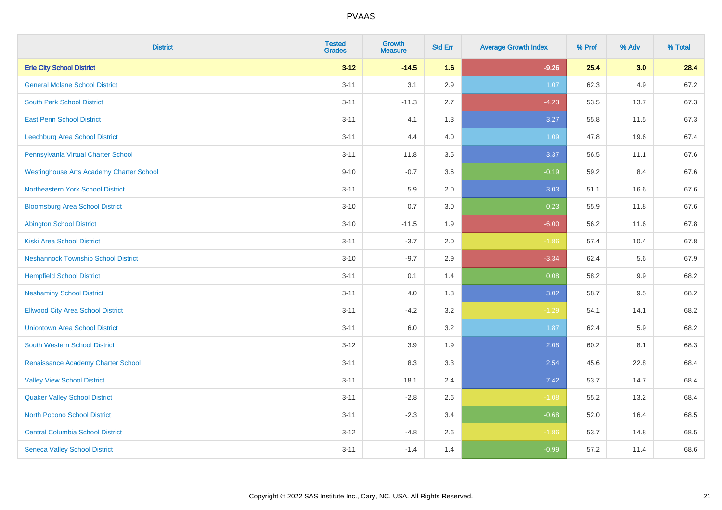| <b>District</b>                                 | <b>Tested</b><br><b>Grades</b> | Growth<br><b>Measure</b> | <b>Std Err</b> | <b>Average Growth Index</b> | % Prof | % Adv   | % Total |
|-------------------------------------------------|--------------------------------|--------------------------|----------------|-----------------------------|--------|---------|---------|
| <b>Erie City School District</b>                | $3 - 12$                       | $-14.5$                  | 1.6            | $-9.26$                     | 25.4   | 3.0     | 28.4    |
| <b>General Mclane School District</b>           | $3 - 11$                       | 3.1                      | 2.9            | 1.07                        | 62.3   | 4.9     | 67.2    |
| <b>South Park School District</b>               | $3 - 11$                       | $-11.3$                  | 2.7            | $-4.23$                     | 53.5   | 13.7    | 67.3    |
| <b>East Penn School District</b>                | $3 - 11$                       | 4.1                      | 1.3            | 3.27                        | 55.8   | 11.5    | 67.3    |
| Leechburg Area School District                  | $3 - 11$                       | 4.4                      | 4.0            | 1.09                        | 47.8   | 19.6    | 67.4    |
| Pennsylvania Virtual Charter School             | $3 - 11$                       | 11.8                     | 3.5            | 3.37                        | 56.5   | 11.1    | 67.6    |
| <b>Westinghouse Arts Academy Charter School</b> | $9 - 10$                       | $-0.7$                   | 3.6            | $-0.19$                     | 59.2   | 8.4     | 67.6    |
| <b>Northeastern York School District</b>        | $3 - 11$                       | 5.9                      | 2.0            | 3.03                        | 51.1   | 16.6    | 67.6    |
| <b>Bloomsburg Area School District</b>          | $3 - 10$                       | 0.7                      | 3.0            | 0.23                        | 55.9   | 11.8    | 67.6    |
| <b>Abington School District</b>                 | $3 - 10$                       | $-11.5$                  | 1.9            | $-6.00$                     | 56.2   | 11.6    | 67.8    |
| <b>Kiski Area School District</b>               | $3 - 11$                       | $-3.7$                   | 2.0            | $-1.86$                     | 57.4   | 10.4    | 67.8    |
| <b>Neshannock Township School District</b>      | $3 - 10$                       | $-9.7$                   | 2.9            | $-3.34$                     | 62.4   | 5.6     | 67.9    |
| <b>Hempfield School District</b>                | $3 - 11$                       | 0.1                      | 1.4            | 0.08                        | 58.2   | $9.9\,$ | 68.2    |
| <b>Neshaminy School District</b>                | $3 - 11$                       | 4.0                      | 1.3            | 3.02                        | 58.7   | 9.5     | 68.2    |
| <b>Ellwood City Area School District</b>        | $3 - 11$                       | $-4.2$                   | 3.2            | $-1.29$                     | 54.1   | 14.1    | 68.2    |
| <b>Uniontown Area School District</b>           | $3 - 11$                       | 6.0                      | 3.2            | 1.87                        | 62.4   | 5.9     | 68.2    |
| <b>South Western School District</b>            | $3 - 12$                       | 3.9                      | 1.9            | 2.08                        | 60.2   | 8.1     | 68.3    |
| Renaissance Academy Charter School              | $3 - 11$                       | 8.3                      | 3.3            | 2.54                        | 45.6   | 22.8    | 68.4    |
| <b>Valley View School District</b>              | $3 - 11$                       | 18.1                     | 2.4            | 7.42                        | 53.7   | 14.7    | 68.4    |
| <b>Quaker Valley School District</b>            | $3 - 11$                       | $-2.8$                   | 2.6            | $-1.08$                     | 55.2   | 13.2    | 68.4    |
| North Pocono School District                    | $3 - 11$                       | $-2.3$                   | 3.4            | $-0.68$                     | 52.0   | 16.4    | 68.5    |
| <b>Central Columbia School District</b>         | $3 - 12$                       | $-4.8$                   | 2.6            | $-1.86$                     | 53.7   | 14.8    | 68.5    |
| <b>Seneca Valley School District</b>            | $3 - 11$                       | $-1.4$                   | 1.4            | $-0.99$                     | 57.2   | 11.4    | 68.6    |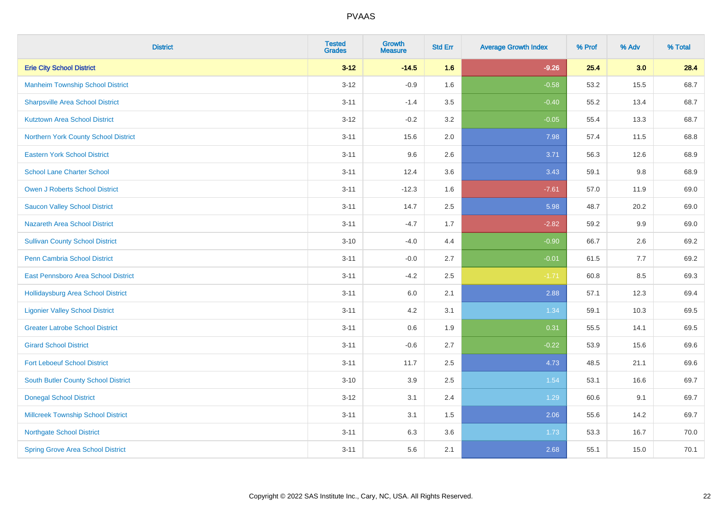| <b>District</b>                           | <b>Tested</b><br><b>Grades</b> | <b>Growth</b><br><b>Measure</b> | <b>Std Err</b> | <b>Average Growth Index</b> | % Prof | % Adv | % Total |
|-------------------------------------------|--------------------------------|---------------------------------|----------------|-----------------------------|--------|-------|---------|
| <b>Erie City School District</b>          | $3 - 12$                       | $-14.5$                         | 1.6            | $-9.26$                     | 25.4   | 3.0   | 28.4    |
| <b>Manheim Township School District</b>   | $3 - 12$                       | $-0.9$                          | 1.6            | $-0.58$                     | 53.2   | 15.5  | 68.7    |
| <b>Sharpsville Area School District</b>   | $3 - 11$                       | $-1.4$                          | 3.5            | $-0.40$                     | 55.2   | 13.4  | 68.7    |
| <b>Kutztown Area School District</b>      | $3 - 12$                       | $-0.2$                          | 3.2            | $-0.05$                     | 55.4   | 13.3  | 68.7    |
| Northern York County School District      | $3 - 11$                       | 15.6                            | 2.0            | 7.98                        | 57.4   | 11.5  | 68.8    |
| <b>Eastern York School District</b>       | $3 - 11$                       | 9.6                             | 2.6            | 3.71                        | 56.3   | 12.6  | 68.9    |
| <b>School Lane Charter School</b>         | $3 - 11$                       | 12.4                            | 3.6            | 3.43                        | 59.1   | 9.8   | 68.9    |
| <b>Owen J Roberts School District</b>     | $3 - 11$                       | $-12.3$                         | 1.6            | $-7.61$                     | 57.0   | 11.9  | 69.0    |
| <b>Saucon Valley School District</b>      | $3 - 11$                       | 14.7                            | 2.5            | 5.98                        | 48.7   | 20.2  | 69.0    |
| <b>Nazareth Area School District</b>      | $3 - 11$                       | $-4.7$                          | 1.7            | $-2.82$                     | 59.2   | 9.9   | 69.0    |
| <b>Sullivan County School District</b>    | $3 - 10$                       | $-4.0$                          | 4.4            | $-0.90$                     | 66.7   | 2.6   | 69.2    |
| Penn Cambria School District              | $3 - 11$                       | $-0.0$                          | 2.7            | $-0.01$                     | 61.5   | 7.7   | 69.2    |
| East Pennsboro Area School District       | $3 - 11$                       | $-4.2$                          | 2.5            | $-1.71$                     | 60.8   | 8.5   | 69.3    |
| <b>Hollidaysburg Area School District</b> | $3 - 11$                       | 6.0                             | 2.1            | 2.88                        | 57.1   | 12.3  | 69.4    |
| <b>Ligonier Valley School District</b>    | $3 - 11$                       | 4.2                             | 3.1            | 1.34                        | 59.1   | 10.3  | 69.5    |
| <b>Greater Latrobe School District</b>    | $3 - 11$                       | 0.6                             | 1.9            | 0.31                        | 55.5   | 14.1  | 69.5    |
| <b>Girard School District</b>             | $3 - 11$                       | $-0.6$                          | 2.7            | $-0.22$                     | 53.9   | 15.6  | 69.6    |
| <b>Fort Leboeuf School District</b>       | $3 - 11$                       | 11.7                            | 2.5            | 4.73                        | 48.5   | 21.1  | 69.6    |
| South Butler County School District       | $3 - 10$                       | 3.9                             | 2.5            | 1.54                        | 53.1   | 16.6  | 69.7    |
| <b>Donegal School District</b>            | $3 - 12$                       | 3.1                             | 2.4            | 1.29                        | 60.6   | 9.1   | 69.7    |
| <b>Millcreek Township School District</b> | $3 - 11$                       | 3.1                             | 1.5            | 2.06                        | 55.6   | 14.2  | 69.7    |
| <b>Northgate School District</b>          | $3 - 11$                       | 6.3                             | 3.6            | 1.73                        | 53.3   | 16.7  | 70.0    |
| <b>Spring Grove Area School District</b>  | $3 - 11$                       | 5.6                             | 2.1            | 2.68                        | 55.1   | 15.0  | 70.1    |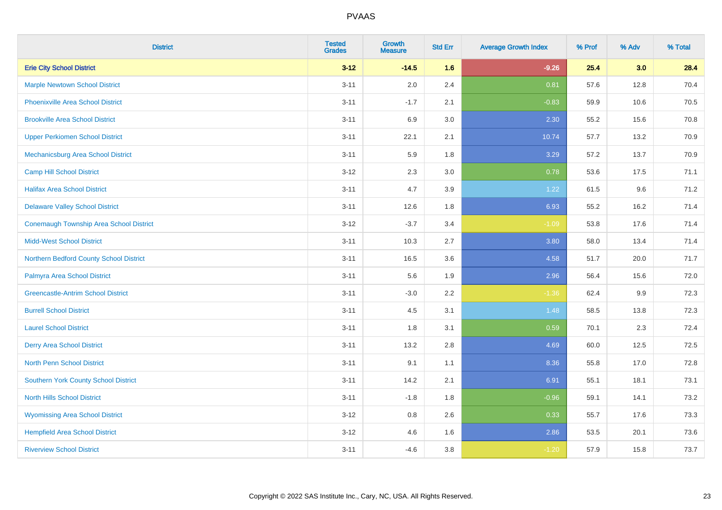| <b>District</b>                                | <b>Tested</b><br><b>Grades</b> | <b>Growth</b><br><b>Measure</b> | <b>Std Err</b> | <b>Average Growth Index</b> | % Prof | % Adv | % Total |
|------------------------------------------------|--------------------------------|---------------------------------|----------------|-----------------------------|--------|-------|---------|
| <b>Erie City School District</b>               | $3 - 12$                       | $-14.5$                         | 1.6            | $-9.26$                     | 25.4   | 3.0   | 28.4    |
| <b>Marple Newtown School District</b>          | $3 - 11$                       | 2.0                             | 2.4            | 0.81                        | 57.6   | 12.8  | 70.4    |
| <b>Phoenixville Area School District</b>       | $3 - 11$                       | $-1.7$                          | 2.1            | $-0.83$                     | 59.9   | 10.6  | 70.5    |
| <b>Brookville Area School District</b>         | $3 - 11$                       | 6.9                             | 3.0            | 2.30                        | 55.2   | 15.6  | 70.8    |
| <b>Upper Perkiomen School District</b>         | $3 - 11$                       | 22.1                            | 2.1            | 10.74                       | 57.7   | 13.2  | 70.9    |
| Mechanicsburg Area School District             | $3 - 11$                       | 5.9                             | 1.8            | 3.29                        | 57.2   | 13.7  | 70.9    |
| <b>Camp Hill School District</b>               | $3 - 12$                       | 2.3                             | 3.0            | 0.78                        | 53.6   | 17.5  | 71.1    |
| <b>Halifax Area School District</b>            | $3 - 11$                       | 4.7                             | 3.9            | 1.22                        | 61.5   | 9.6   | 71.2    |
| <b>Delaware Valley School District</b>         | $3 - 11$                       | 12.6                            | 1.8            | 6.93                        | 55.2   | 16.2  | 71.4    |
| <b>Conemaugh Township Area School District</b> | $3 - 12$                       | $-3.7$                          | 3.4            | $-1.09$                     | 53.8   | 17.6  | 71.4    |
| <b>Midd-West School District</b>               | $3 - 11$                       | 10.3                            | 2.7            | 3.80                        | 58.0   | 13.4  | 71.4    |
| Northern Bedford County School District        | $3 - 11$                       | 16.5                            | 3.6            | 4.58                        | 51.7   | 20.0  | 71.7    |
| Palmyra Area School District                   | $3 - 11$                       | 5.6                             | 1.9            | 2.96                        | 56.4   | 15.6  | 72.0    |
| <b>Greencastle-Antrim School District</b>      | $3 - 11$                       | $-3.0$                          | 2.2            | $-1.36$                     | 62.4   | 9.9   | 72.3    |
| <b>Burrell School District</b>                 | $3 - 11$                       | 4.5                             | 3.1            | 1.48                        | 58.5   | 13.8  | 72.3    |
| <b>Laurel School District</b>                  | $3 - 11$                       | 1.8                             | 3.1            | 0.59                        | 70.1   | 2.3   | 72.4    |
| <b>Derry Area School District</b>              | $3 - 11$                       | 13.2                            | 2.8            | 4.69                        | 60.0   | 12.5  | 72.5    |
| <b>North Penn School District</b>              | $3 - 11$                       | 9.1                             | 1.1            | 8.36                        | 55.8   | 17.0  | 72.8    |
| Southern York County School District           | $3 - 11$                       | 14.2                            | 2.1            | 6.91                        | 55.1   | 18.1  | 73.1    |
| <b>North Hills School District</b>             | $3 - 11$                       | $-1.8$                          | 1.8            | $-0.96$                     | 59.1   | 14.1  | 73.2    |
| <b>Wyomissing Area School District</b>         | $3 - 12$                       | 0.8                             | 2.6            | 0.33                        | 55.7   | 17.6  | 73.3    |
| <b>Hempfield Area School District</b>          | $3 - 12$                       | 4.6                             | 1.6            | 2.86                        | 53.5   | 20.1  | 73.6    |
| <b>Riverview School District</b>               | $3 - 11$                       | $-4.6$                          | 3.8            | $-1.20$                     | 57.9   | 15.8  | 73.7    |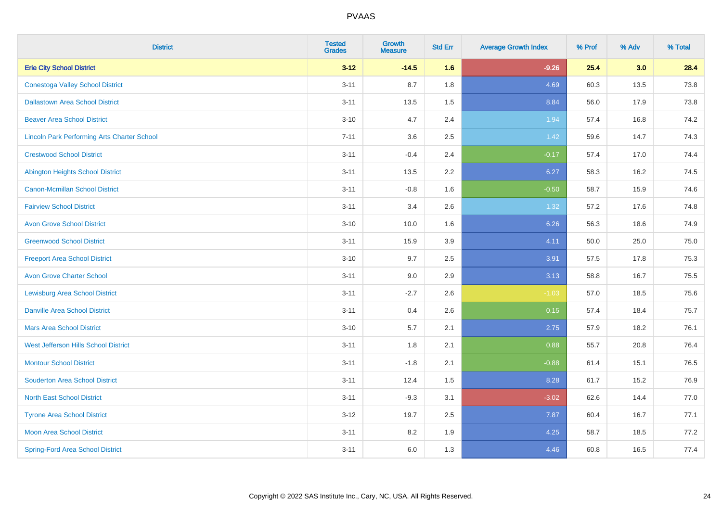| <b>District</b>                                    | <b>Tested</b><br><b>Grades</b> | <b>Growth</b><br><b>Measure</b> | <b>Std Err</b> | <b>Average Growth Index</b> | % Prof | % Adv | % Total |
|----------------------------------------------------|--------------------------------|---------------------------------|----------------|-----------------------------|--------|-------|---------|
| <b>Erie City School District</b>                   | $3 - 12$                       | $-14.5$                         | 1.6            | $-9.26$                     | 25.4   | 3.0   | 28.4    |
| <b>Conestoga Valley School District</b>            | $3 - 11$                       | 8.7                             | 1.8            | 4.69                        | 60.3   | 13.5  | 73.8    |
| <b>Dallastown Area School District</b>             | $3 - 11$                       | 13.5                            | 1.5            | 8.84                        | 56.0   | 17.9  | 73.8    |
| <b>Beaver Area School District</b>                 | $3 - 10$                       | 4.7                             | 2.4            | 1.94                        | 57.4   | 16.8  | 74.2    |
| <b>Lincoln Park Performing Arts Charter School</b> | $7 - 11$                       | 3.6                             | 2.5            | 1.42                        | 59.6   | 14.7  | 74.3    |
| <b>Crestwood School District</b>                   | $3 - 11$                       | $-0.4$                          | 2.4            | $-0.17$                     | 57.4   | 17.0  | 74.4    |
| <b>Abington Heights School District</b>            | $3 - 11$                       | 13.5                            | 2.2            | 6.27                        | 58.3   | 16.2  | 74.5    |
| <b>Canon-Mcmillan School District</b>              | $3 - 11$                       | $-0.8$                          | 1.6            | $-0.50$                     | 58.7   | 15.9  | 74.6    |
| <b>Fairview School District</b>                    | $3 - 11$                       | 3.4                             | 2.6            | 1.32                        | 57.2   | 17.6  | 74.8    |
| <b>Avon Grove School District</b>                  | $3 - 10$                       | 10.0                            | 1.6            | 6.26                        | 56.3   | 18.6  | 74.9    |
| <b>Greenwood School District</b>                   | $3 - 11$                       | 15.9                            | 3.9            | 4.11                        | 50.0   | 25.0  | 75.0    |
| <b>Freeport Area School District</b>               | $3 - 10$                       | 9.7                             | 2.5            | 3.91                        | 57.5   | 17.8  | 75.3    |
| <b>Avon Grove Charter School</b>                   | $3 - 11$                       | 9.0                             | 2.9            | 3.13                        | 58.8   | 16.7  | 75.5    |
| <b>Lewisburg Area School District</b>              | $3 - 11$                       | $-2.7$                          | 2.6            | $-1.03$                     | 57.0   | 18.5  | 75.6    |
| <b>Danville Area School District</b>               | $3 - 11$                       | 0.4                             | 2.6            | 0.15                        | 57.4   | 18.4  | 75.7    |
| <b>Mars Area School District</b>                   | $3 - 10$                       | 5.7                             | 2.1            | 2.75                        | 57.9   | 18.2  | 76.1    |
| West Jefferson Hills School District               | $3 - 11$                       | 1.8                             | 2.1            | 0.88                        | 55.7   | 20.8  | 76.4    |
| <b>Montour School District</b>                     | $3 - 11$                       | $-1.8$                          | 2.1            | $-0.88$                     | 61.4   | 15.1  | 76.5    |
| <b>Souderton Area School District</b>              | $3 - 11$                       | 12.4                            | 1.5            | 8.28                        | 61.7   | 15.2  | 76.9    |
| <b>North East School District</b>                  | $3 - 11$                       | $-9.3$                          | 3.1            | $-3.02$                     | 62.6   | 14.4  | 77.0    |
| <b>Tyrone Area School District</b>                 | $3-12$                         | 19.7                            | 2.5            | 7.87                        | 60.4   | 16.7  | 77.1    |
| <b>Moon Area School District</b>                   | $3 - 11$                       | 8.2                             | 1.9            | 4.25                        | 58.7   | 18.5  | 77.2    |
| <b>Spring-Ford Area School District</b>            | $3 - 11$                       | 6.0                             | 1.3            | 4.46                        | 60.8   | 16.5  | 77.4    |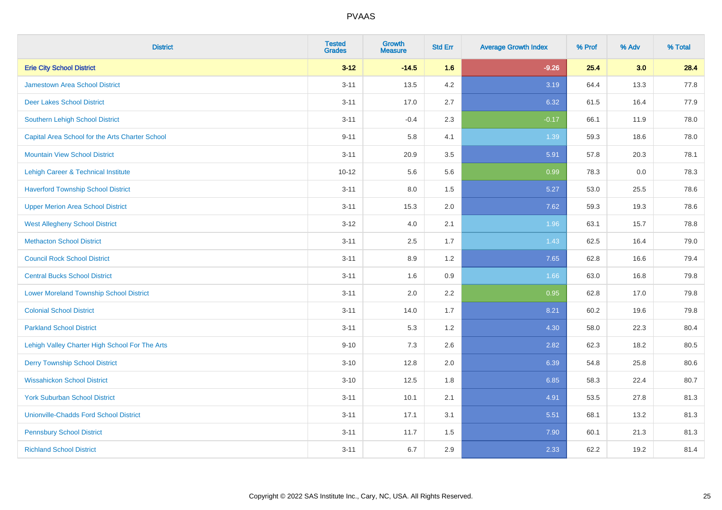| <b>District</b>                                 | <b>Tested</b><br><b>Grades</b> | <b>Growth</b><br><b>Measure</b> | <b>Std Err</b> | <b>Average Growth Index</b> | % Prof | % Adv | % Total |
|-------------------------------------------------|--------------------------------|---------------------------------|----------------|-----------------------------|--------|-------|---------|
| <b>Erie City School District</b>                | $3 - 12$                       | $-14.5$                         | 1.6            | $-9.26$                     | 25.4   | 3.0   | 28.4    |
| <b>Jamestown Area School District</b>           | $3 - 11$                       | 13.5                            | 4.2            | 3.19                        | 64.4   | 13.3  | 77.8    |
| <b>Deer Lakes School District</b>               | $3 - 11$                       | 17.0                            | 2.7            | 6.32                        | 61.5   | 16.4  | 77.9    |
| Southern Lehigh School District                 | $3 - 11$                       | $-0.4$                          | 2.3            | $-0.17$                     | 66.1   | 11.9  | 78.0    |
| Capital Area School for the Arts Charter School | $9 - 11$                       | 5.8                             | 4.1            | 1.39                        | 59.3   | 18.6  | 78.0    |
| <b>Mountain View School District</b>            | $3 - 11$                       | 20.9                            | 3.5            | 5.91                        | 57.8   | 20.3  | 78.1    |
| <b>Lehigh Career &amp; Technical Institute</b>  | $10 - 12$                      | 5.6                             | 5.6            | 0.99                        | 78.3   | 0.0   | 78.3    |
| <b>Haverford Township School District</b>       | $3 - 11$                       | 8.0                             | 1.5            | 5.27                        | 53.0   | 25.5  | 78.6    |
| <b>Upper Merion Area School District</b>        | $3 - 11$                       | 15.3                            | 2.0            | 7.62                        | 59.3   | 19.3  | 78.6    |
| <b>West Allegheny School District</b>           | $3 - 12$                       | 4.0                             | 2.1            | 1.96                        | 63.1   | 15.7  | 78.8    |
| <b>Methacton School District</b>                | $3 - 11$                       | 2.5                             | 1.7            | 1.43                        | 62.5   | 16.4  | 79.0    |
| <b>Council Rock School District</b>             | $3 - 11$                       | 8.9                             | 1.2            | 7.65                        | 62.8   | 16.6  | 79.4    |
| <b>Central Bucks School District</b>            | $3 - 11$                       | 1.6                             | 0.9            | 1.66                        | 63.0   | 16.8  | 79.8    |
| <b>Lower Moreland Township School District</b>  | $3 - 11$                       | 2.0                             | 2.2            | 0.95                        | 62.8   | 17.0  | 79.8    |
| <b>Colonial School District</b>                 | $3 - 11$                       | 14.0                            | 1.7            | 8.21                        | 60.2   | 19.6  | 79.8    |
| <b>Parkland School District</b>                 | $3 - 11$                       | 5.3                             | 1.2            | 4.30                        | 58.0   | 22.3  | 80.4    |
| Lehigh Valley Charter High School For The Arts  | $9 - 10$                       | 7.3                             | 2.6            | 2.82                        | 62.3   | 18.2  | 80.5    |
| <b>Derry Township School District</b>           | $3 - 10$                       | 12.8                            | 2.0            | 6.39                        | 54.8   | 25.8  | 80.6    |
| <b>Wissahickon School District</b>              | $3 - 10$                       | 12.5                            | 1.8            | 6.85                        | 58.3   | 22.4  | 80.7    |
| <b>York Suburban School District</b>            | $3 - 11$                       | 10.1                            | 2.1            | 4.91                        | 53.5   | 27.8  | 81.3    |
| <b>Unionville-Chadds Ford School District</b>   | $3 - 11$                       | 17.1                            | 3.1            | 5.51                        | 68.1   | 13.2  | 81.3    |
| <b>Pennsbury School District</b>                | $3 - 11$                       | 11.7                            | 1.5            | 7.90                        | 60.1   | 21.3  | 81.3    |
| <b>Richland School District</b>                 | $3 - 11$                       | 6.7                             | 2.9            | 2.33                        | 62.2   | 19.2  | 81.4    |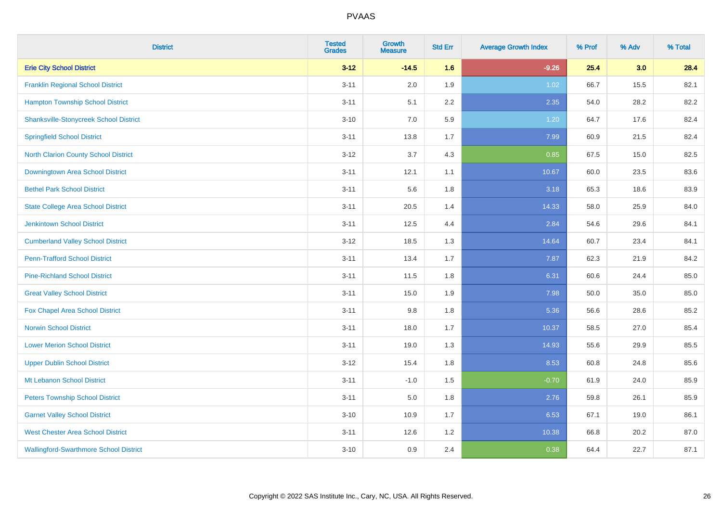| <b>District</b>                               | <b>Tested</b><br><b>Grades</b> | <b>Growth</b><br><b>Measure</b> | <b>Std Err</b> | <b>Average Growth Index</b> | % Prof | % Adv | % Total |
|-----------------------------------------------|--------------------------------|---------------------------------|----------------|-----------------------------|--------|-------|---------|
| <b>Erie City School District</b>              | $3 - 12$                       | $-14.5$                         | 1.6            | $-9.26$                     | 25.4   | 3.0   | 28.4    |
| <b>Franklin Regional School District</b>      | $3 - 11$                       | 2.0                             | 1.9            | 1.02                        | 66.7   | 15.5  | 82.1    |
| <b>Hampton Township School District</b>       | $3 - 11$                       | 5.1                             | 2.2            | 2.35                        | 54.0   | 28.2  | 82.2    |
| <b>Shanksville-Stonycreek School District</b> | $3 - 10$                       | 7.0                             | 5.9            | 1.20                        | 64.7   | 17.6  | 82.4    |
| <b>Springfield School District</b>            | $3 - 11$                       | 13.8                            | 1.7            | 7.99                        | 60.9   | 21.5  | 82.4    |
| <b>North Clarion County School District</b>   | $3 - 12$                       | 3.7                             | 4.3            | 0.85                        | 67.5   | 15.0  | 82.5    |
| Downingtown Area School District              | $3 - 11$                       | 12.1                            | 1.1            | 10.67                       | 60.0   | 23.5  | 83.6    |
| <b>Bethel Park School District</b>            | $3 - 11$                       | 5.6                             | 1.8            | 3.18                        | 65.3   | 18.6  | 83.9    |
| <b>State College Area School District</b>     | $3 - 11$                       | 20.5                            | 1.4            | 14.33                       | 58.0   | 25.9  | 84.0    |
| <b>Jenkintown School District</b>             | $3 - 11$                       | 12.5                            | 4.4            | 2.84                        | 54.6   | 29.6  | 84.1    |
| <b>Cumberland Valley School District</b>      | $3 - 12$                       | 18.5                            | 1.3            | 14.64                       | 60.7   | 23.4  | 84.1    |
| <b>Penn-Trafford School District</b>          | $3 - 11$                       | 13.4                            | 1.7            | 7.87                        | 62.3   | 21.9  | 84.2    |
| <b>Pine-Richland School District</b>          | $3 - 11$                       | 11.5                            | 1.8            | 6.31                        | 60.6   | 24.4  | 85.0    |
| <b>Great Valley School District</b>           | $3 - 11$                       | 15.0                            | 1.9            | 7.98                        | 50.0   | 35.0  | 85.0    |
| Fox Chapel Area School District               | $3 - 11$                       | 9.8                             | 1.8            | 5.36                        | 56.6   | 28.6  | 85.2    |
| <b>Norwin School District</b>                 | $3 - 11$                       | 18.0                            | 1.7            | 10.37                       | 58.5   | 27.0  | 85.4    |
| <b>Lower Merion School District</b>           | $3 - 11$                       | 19.0                            | 1.3            | 14.93                       | 55.6   | 29.9  | 85.5    |
| <b>Upper Dublin School District</b>           | $3 - 12$                       | 15.4                            | 1.8            | 8.53                        | 60.8   | 24.8  | 85.6    |
| Mt Lebanon School District                    | $3 - 11$                       | $-1.0$                          | 1.5            | $-0.70$                     | 61.9   | 24.0  | 85.9    |
| <b>Peters Township School District</b>        | $3 - 11$                       | 5.0                             | 1.8            | 2.76                        | 59.8   | 26.1  | 85.9    |
| <b>Garnet Valley School District</b>          | $3 - 10$                       | 10.9                            | 1.7            | 6.53                        | 67.1   | 19.0  | 86.1    |
| <b>West Chester Area School District</b>      | $3 - 11$                       | 12.6                            | 1.2            | 10.38                       | 66.8   | 20.2  | 87.0    |
| <b>Wallingford-Swarthmore School District</b> | $3 - 10$                       | 0.9                             | 2.4            | 0.38                        | 64.4   | 22.7  | 87.1    |